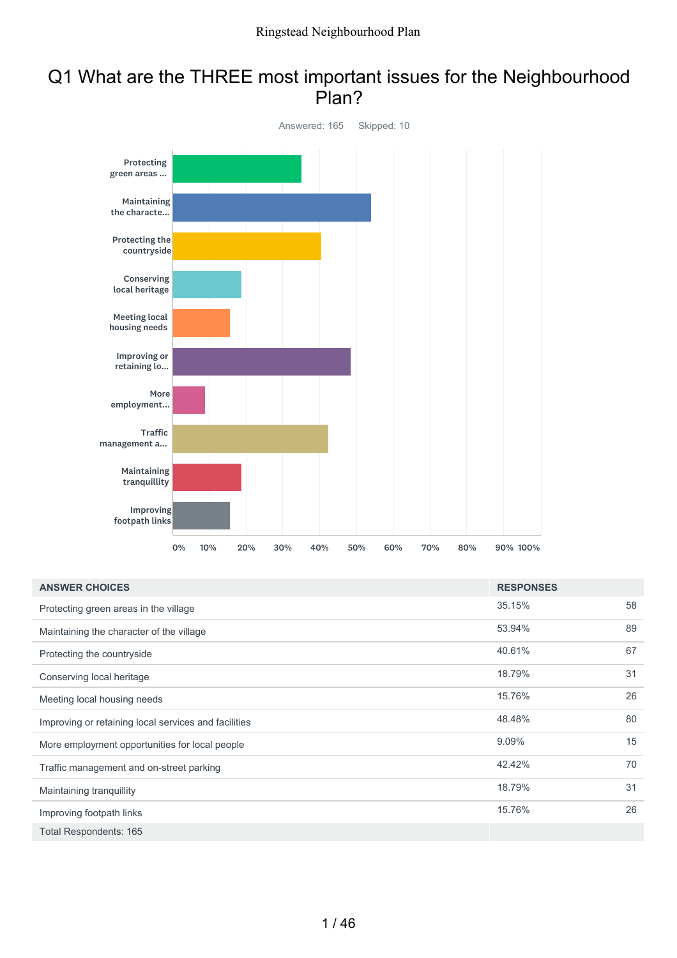#### Q1 What are the THREE most important issues for the Neighbourhood Plan?



| <b>ANSWER CHOICES</b>                                | <b>RESPONSES</b> |    |
|------------------------------------------------------|------------------|----|
| Protecting green areas in the village                | 35.15%           | 58 |
| Maintaining the character of the village             | 53.94%           | 89 |
| Protecting the countryside                           | 40.61%           | 67 |
| Conserving local heritage                            | 18.79%           | 31 |
| Meeting local housing needs                          | 15.76%           | 26 |
| Improving or retaining local services and facilities | 48.48%           | 80 |
| More employment opportunities for local people       | 9.09%            | 15 |
| Traffic management and on-street parking             | 42.42%           | 70 |
| Maintaining tranquillity                             | 18.79%           | 31 |
| Improving footpath links                             | 15.76%           | 26 |
| Total Respondents: 165                               |                  |    |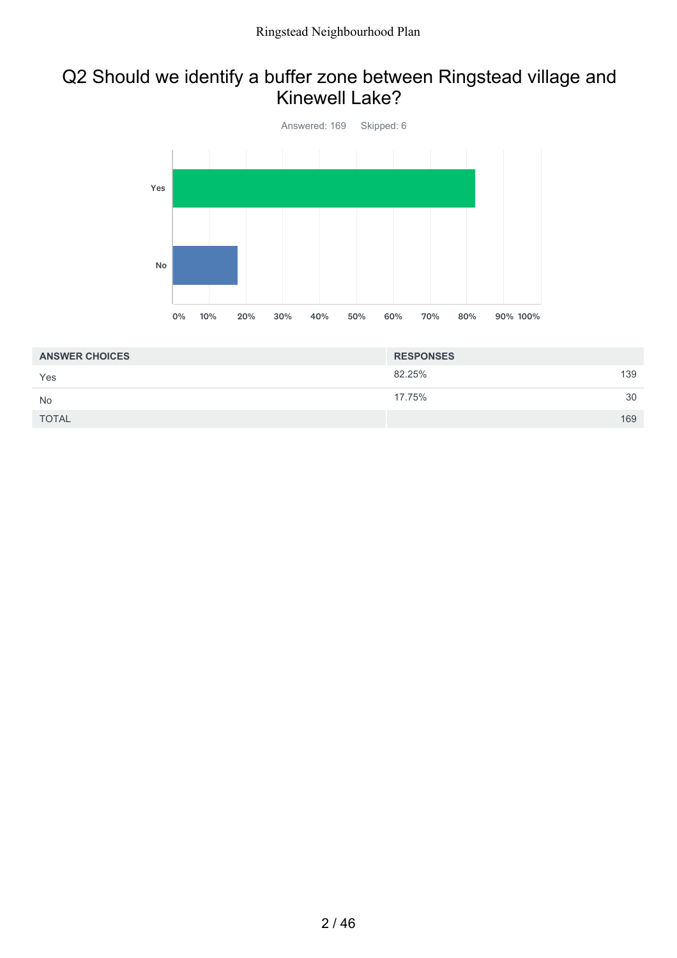#### Q2 Should we identify a buffer zone between Ringstead village and Kinewell Lake?



| <b>ANSWER CHOICES</b> | <b>RESPONSES</b> |     |
|-----------------------|------------------|-----|
| Yes                   | 82.25%           | 139 |
| <b>No</b>             | 17.75%           | 30  |
| <b>TOTAL</b>          |                  | 169 |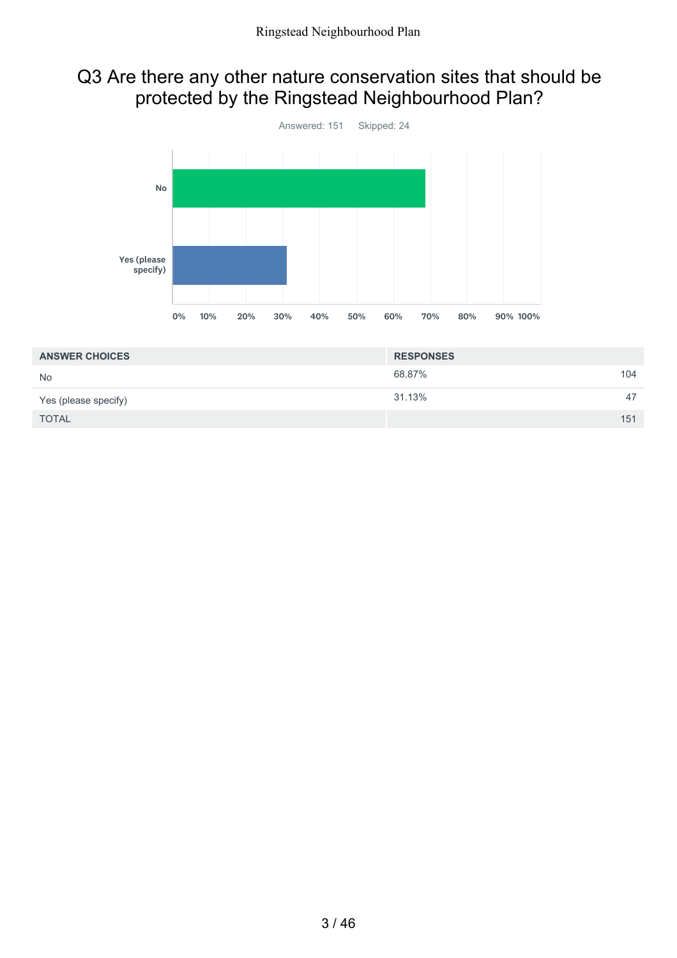#### Q3 Are there any other nature conservation sites that should be protected by the Ringstead Neighbourhood Plan?



| <b>ANSWER CHOICES</b> | <b>RESPONSES</b> |  |
|-----------------------|------------------|--|
| <b>No</b>             | 68.87%<br>104    |  |
| Yes (please specify)  | 31.13%<br>47     |  |
| <b>TOTAL</b>          | 151              |  |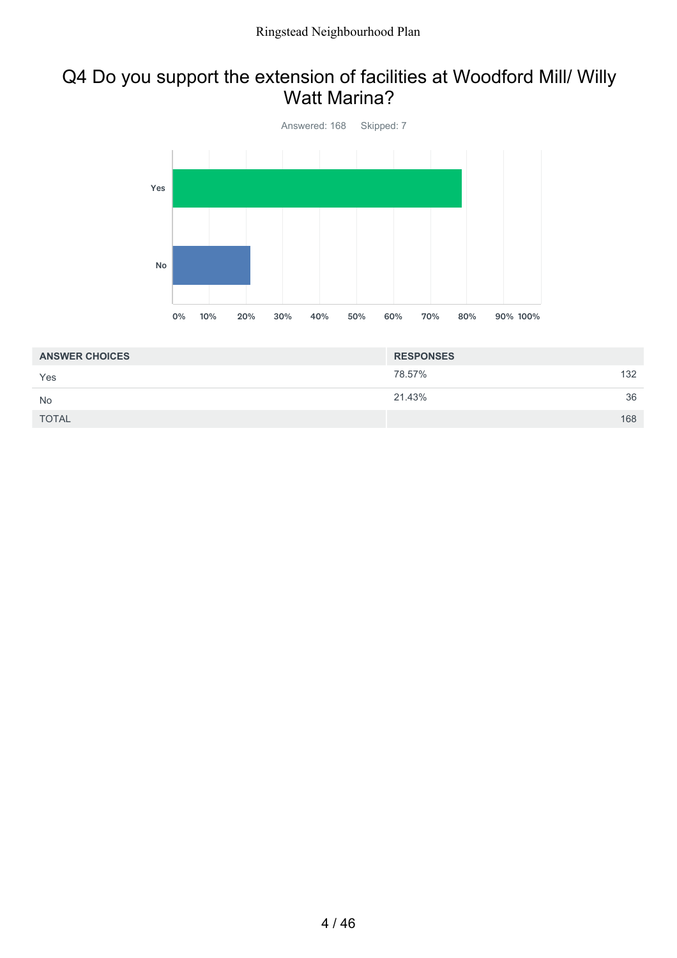#### Q4 Do you support the extension of facilities at Woodford Mill/ Willy Watt Marina?



| <b>ANSWER CHOICES</b> | <b>RESPONSES</b> |     |
|-----------------------|------------------|-----|
| Yes                   | 78.57%           | 132 |
| <b>No</b>             | 21.43%           | 36  |
| <b>TOTAL</b>          |                  | 168 |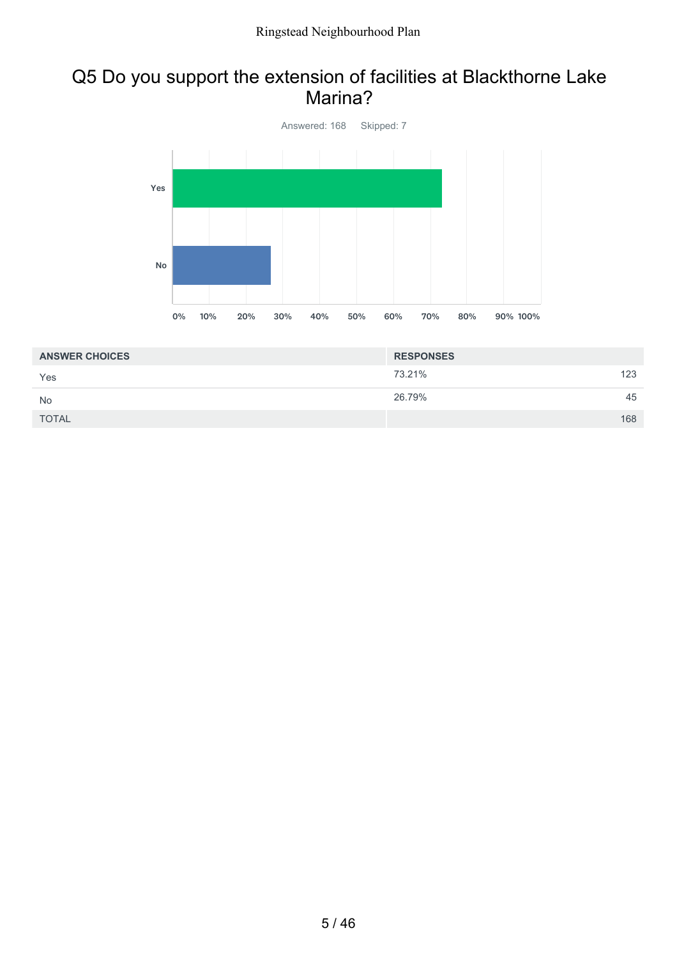#### Q5 Do you support the extension of facilities at Blackthorne Lake Marina?



| <b>ANSWER CHOICES</b> | <b>RESPONSES</b> |     |
|-----------------------|------------------|-----|
| Yes                   | 73.21%           | 123 |
| <b>No</b>             | 26.79%           | 45  |
| <b>TOTAL</b>          |                  | 168 |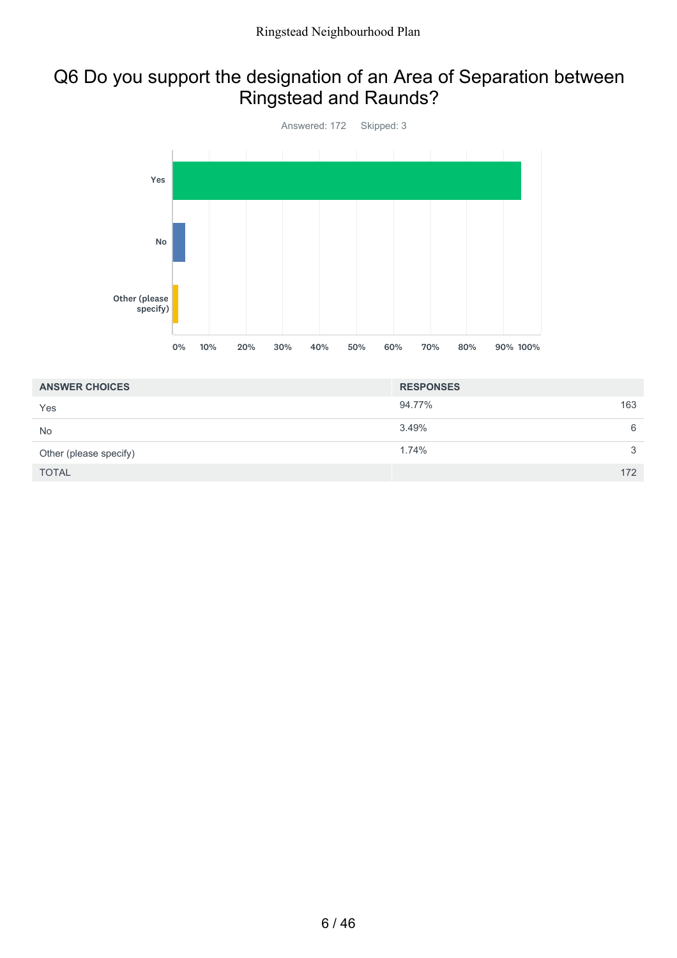### Q6 Do you support the designation of an Area of Separation between Ringstead and Raunds?



| <b>ANSWER CHOICES</b>  | <b>RESPONSES</b> |     |
|------------------------|------------------|-----|
| Yes                    | 94.77%           | 163 |
| <b>No</b>              | 3.49%            | 6   |
| Other (please specify) | 1.74%            | 3   |
| <b>TOTAL</b>           |                  | 172 |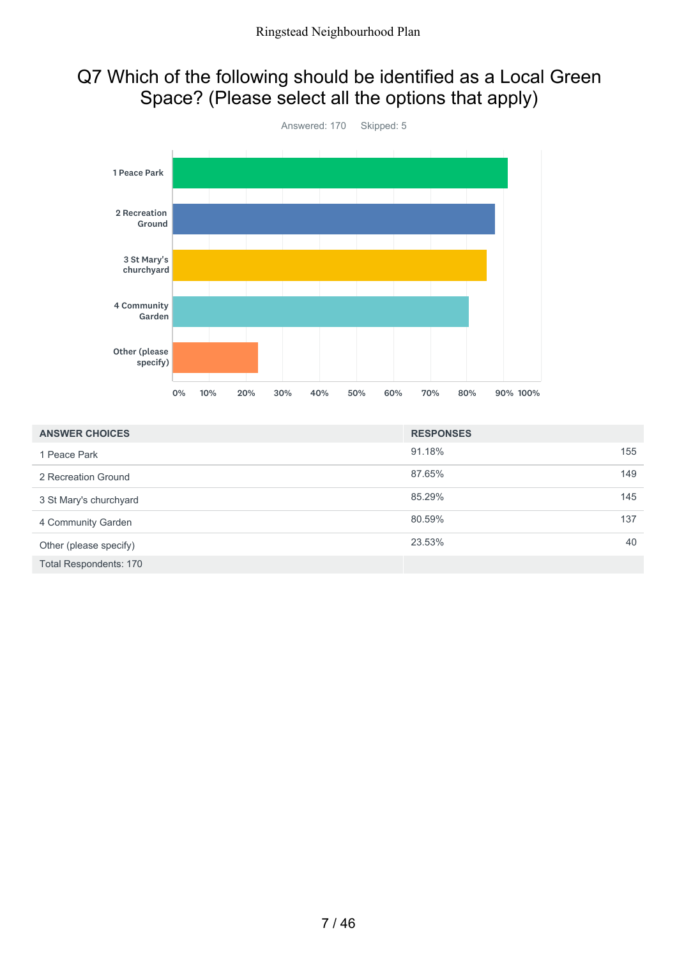### Q7 Which of the following should be identified as a Local Green Space? (Please select all the options that apply)



| <b>ANSWER CHOICES</b>  | <b>RESPONSES</b> |     |
|------------------------|------------------|-----|
| 1 Peace Park           | 91.18%           | 155 |
| 2 Recreation Ground    | 87.65%           | 149 |
| 3 St Mary's churchyard | 85.29%           | 145 |
| 4 Community Garden     | 80.59%           | 137 |
| Other (please specify) | 23.53%           | 40  |
| Total Respondents: 170 |                  |     |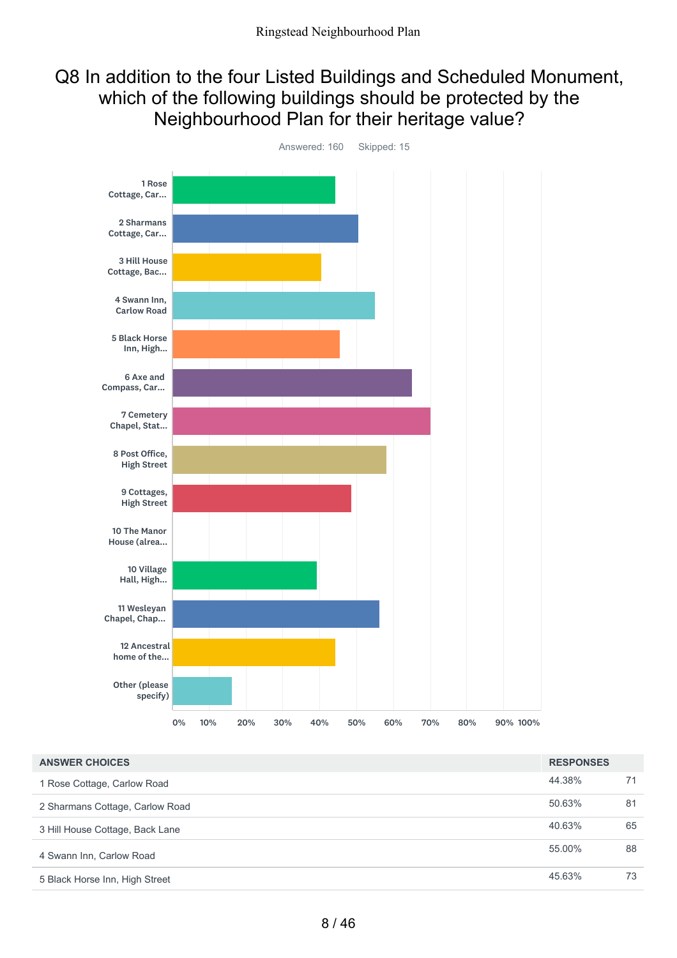#### Q8 In addition to the four Listed Buildings and Scheduled Monument, which of the following buildings should be protected by the Neighbourhood Plan for their heritage value?



| <b>ANSWER CHOICES</b>           | <b>RESPONSES</b> |    |
|---------------------------------|------------------|----|
| 1 Rose Cottage, Carlow Road     | 44.38%           | 71 |
| 2 Sharmans Cottage, Carlow Road | 50.63%           | 81 |
| 3 Hill House Cottage, Back Lane | 40.63%           | 65 |
| 4 Swann Inn, Carlow Road        | 55.00%           | 88 |
| 5 Black Horse Inn, High Street  | 45.63%           | 73 |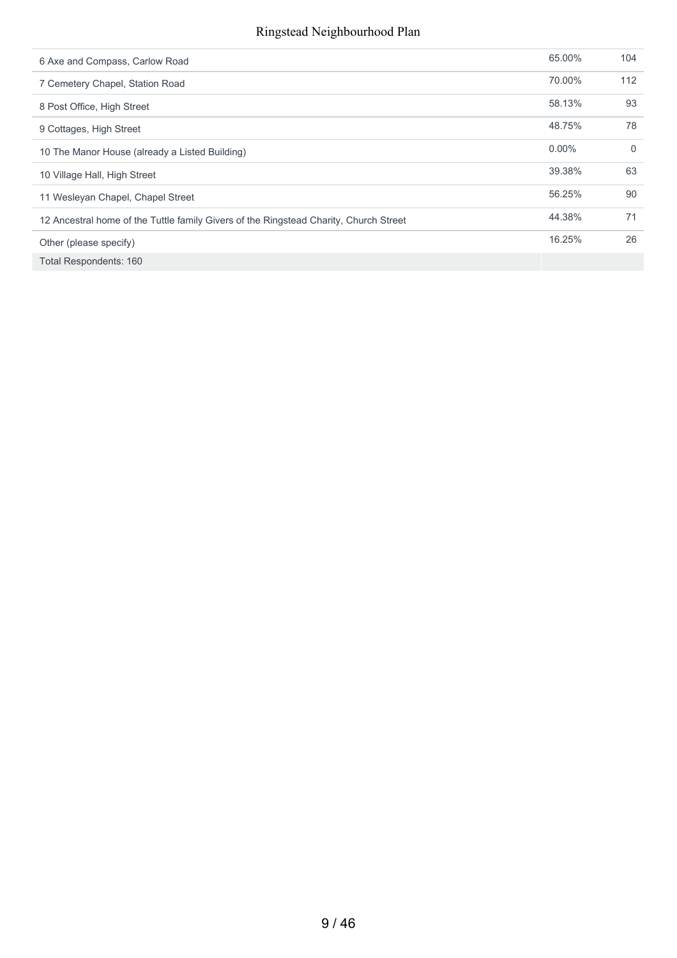#### Ringstead Neighbourhood Plan

| 6 Axe and Compass, Carlow Road                                                        | 65.00%   | 104      |
|---------------------------------------------------------------------------------------|----------|----------|
| 7 Cemetery Chapel, Station Road                                                       | 70.00%   | 112      |
| 8 Post Office, High Street                                                            | 58.13%   | 93       |
| 9 Cottages, High Street                                                               | 48.75%   | 78       |
| 10 The Manor House (already a Listed Building)                                        | $0.00\%$ | $\Omega$ |
| 10 Village Hall, High Street                                                          | 39.38%   | 63       |
| 11 Wesleyan Chapel, Chapel Street                                                     | 56.25%   | 90       |
| 12 Ancestral home of the Tuttle family Givers of the Ringstead Charity, Church Street | 44.38%   | 71       |
| Other (please specify)                                                                | 16.25%   | 26       |
| Total Respondents: 160                                                                |          |          |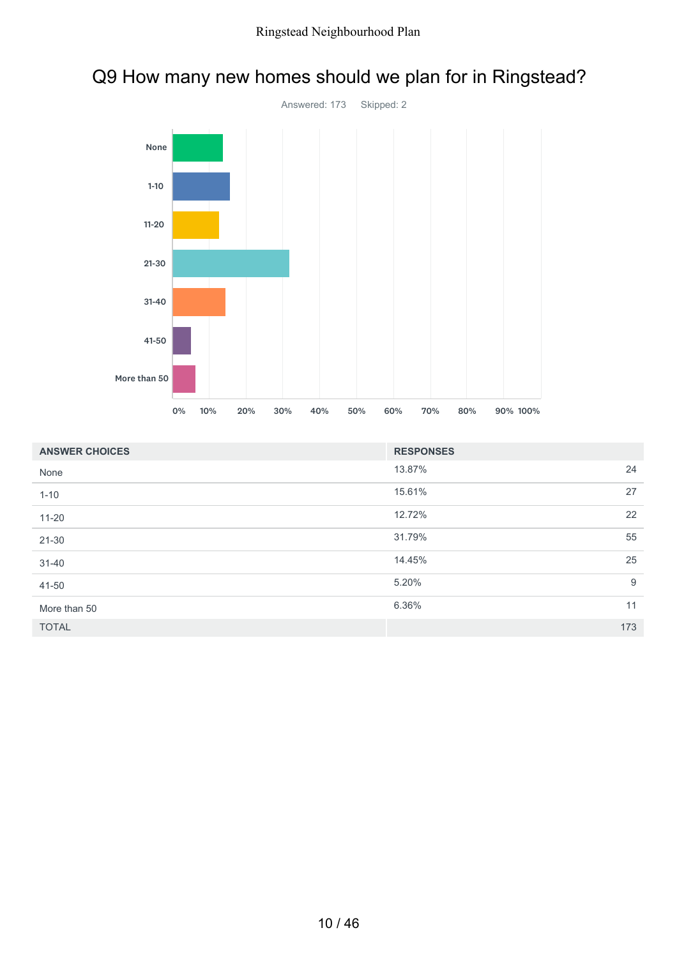

## Q9 How many new homes should we plan for in Ringstead?

| <b>ANSWER CHOICES</b> | <b>RESPONSES</b> |     |
|-----------------------|------------------|-----|
| None                  | 13.87%           | 24  |
| $1 - 10$              | 15.61%           | 27  |
| $11 - 20$             | 12.72%           | 22  |
| $21 - 30$             | 31.79%           | 55  |
| $31 - 40$             | 14.45%           | 25  |
| 41-50                 | 5.20%            | 9   |
| More than 50          | 6.36%            | 11  |
| <b>TOTAL</b>          |                  | 173 |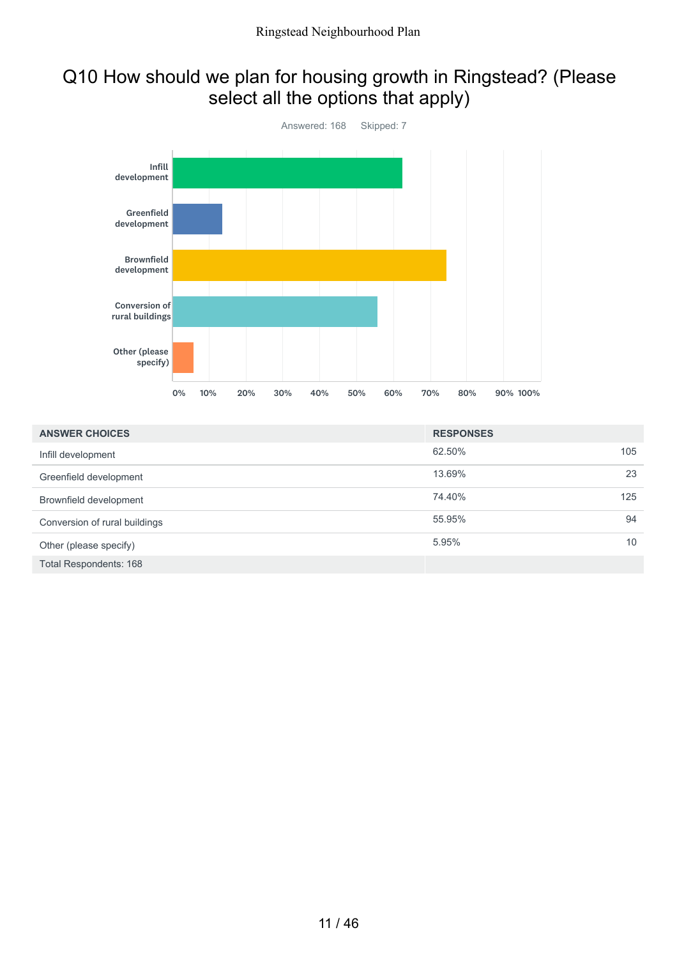### Q10 How should we plan for housing growth in Ringstead? (Please select all the options that apply)



| <b>ANSWER CHOICES</b>         | <b>RESPONSES</b> |     |
|-------------------------------|------------------|-----|
| Infill development            | 62.50%           | 105 |
| Greenfield development        | 13.69%           | 23  |
| Brownfield development        | 74.40%           | 125 |
| Conversion of rural buildings | 55.95%           | 94  |
| Other (please specify)        | 5.95%            | 10  |
| Total Respondents: 168        |                  |     |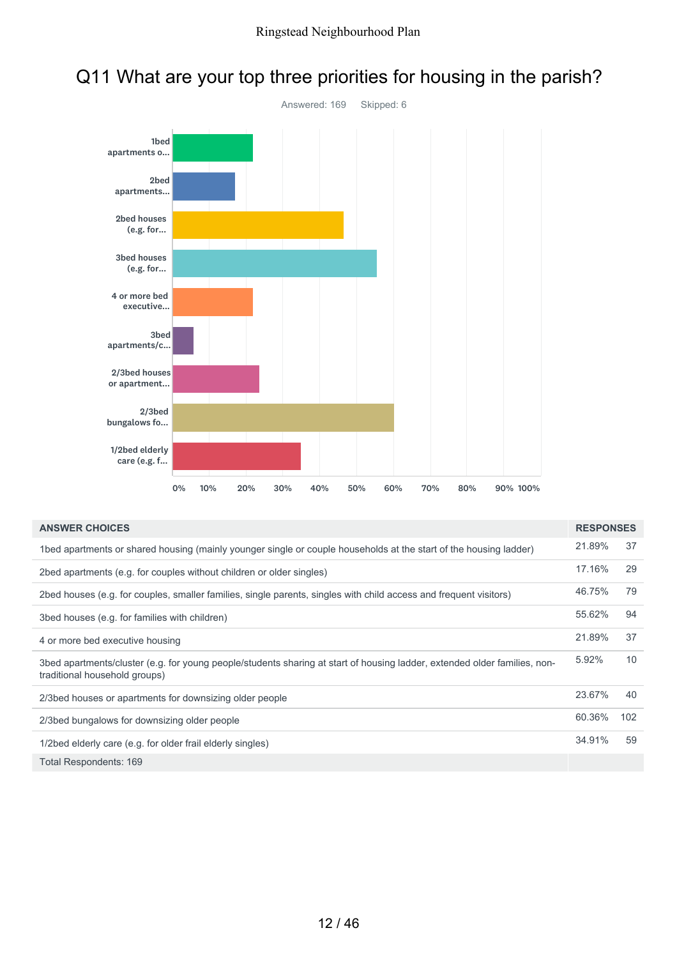

### Q11 What are your top three priorities for housing in the parish?

| <b>ANSWER CHOICES</b>                                                                                                                                      | <b>RESPONSES</b> |     |
|------------------------------------------------------------------------------------------------------------------------------------------------------------|------------------|-----|
| 1bed apartments or shared housing (mainly younger single or couple households at the start of the housing ladder)                                          | 21.89%           | 37  |
| 2bed apartments (e.g. for couples without children or older singles)                                                                                       | 17.16%           | 29  |
| 2bed houses (e.g. for couples, smaller families, single parents, singles with child access and frequent visitors)                                          | 46.75%           | 79  |
| 3bed houses (e.g. for families with children)                                                                                                              | 55.62%           | 94  |
| 4 or more bed executive housing                                                                                                                            | 21.89%           | 37  |
| 3bed apartments/cluster (e.g. for young people/students sharing at start of housing ladder, extended older families, non-<br>traditional household groups) | 5.92%            | 10  |
| 2/3bed houses or apartments for downsizing older people                                                                                                    | 23.67%           | 40  |
| 2/3bed bungalows for downsizing older people                                                                                                               | 60.36%           | 102 |
| 1/2bed elderly care (e.g. for older frail elderly singles)                                                                                                 | 34.91%           | 59  |
| Total Respondents: 169                                                                                                                                     |                  |     |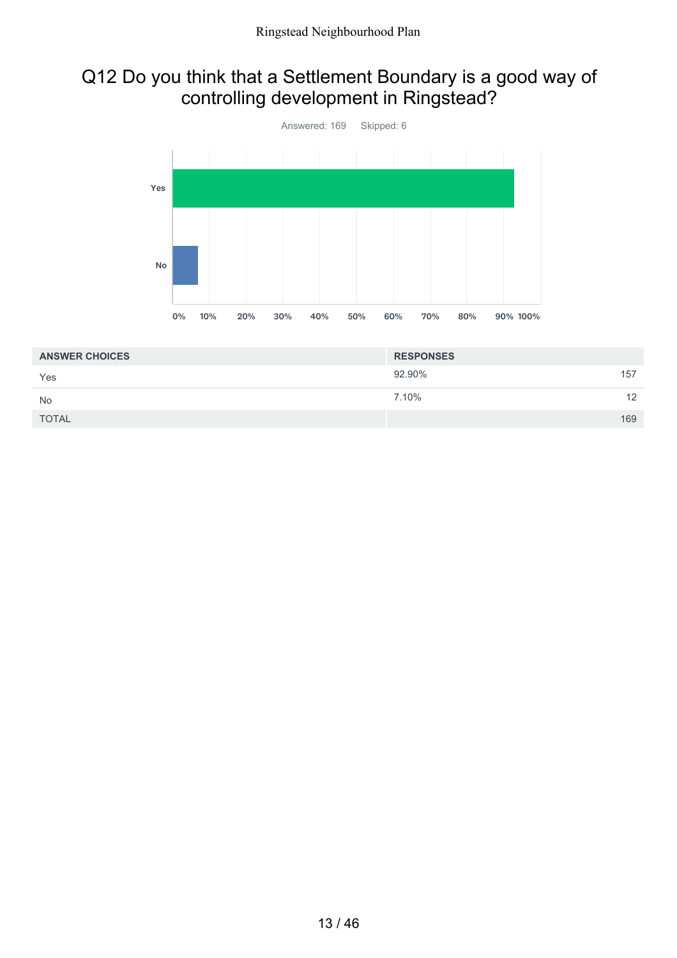#### Q12 Do you think that a Settlement Boundary is a good way of controlling development in Ringstead?



| <b>ANSWER CHOICES</b> | <b>RESPONSES</b> |     |
|-----------------------|------------------|-----|
| Yes                   | 92.90%           | 157 |
| <b>No</b>             | 7.10%            | 12  |
| <b>TOTAL</b>          |                  | 169 |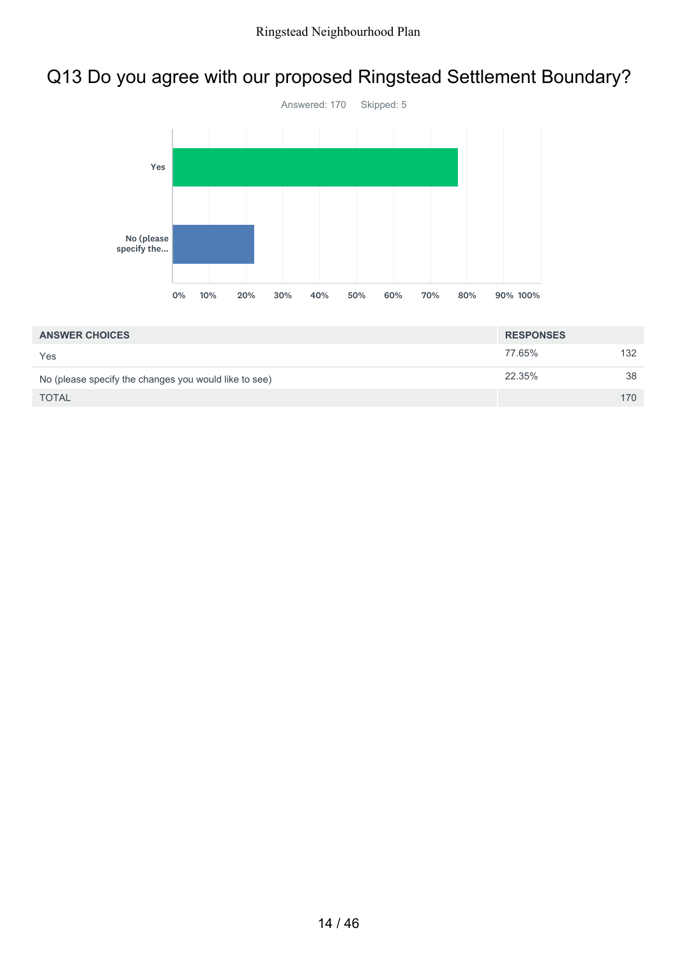## Q13 Do you agree with our proposed Ringstead Settlement Boundary?



| <b>ANSWER CHOICES</b>                                 | <b>RESPONSES</b> |     |
|-------------------------------------------------------|------------------|-----|
| Yes                                                   | 77.65%           | 132 |
| No (please specify the changes you would like to see) | 22.35%           | 38  |
| <b>TOTAL</b>                                          |                  | 170 |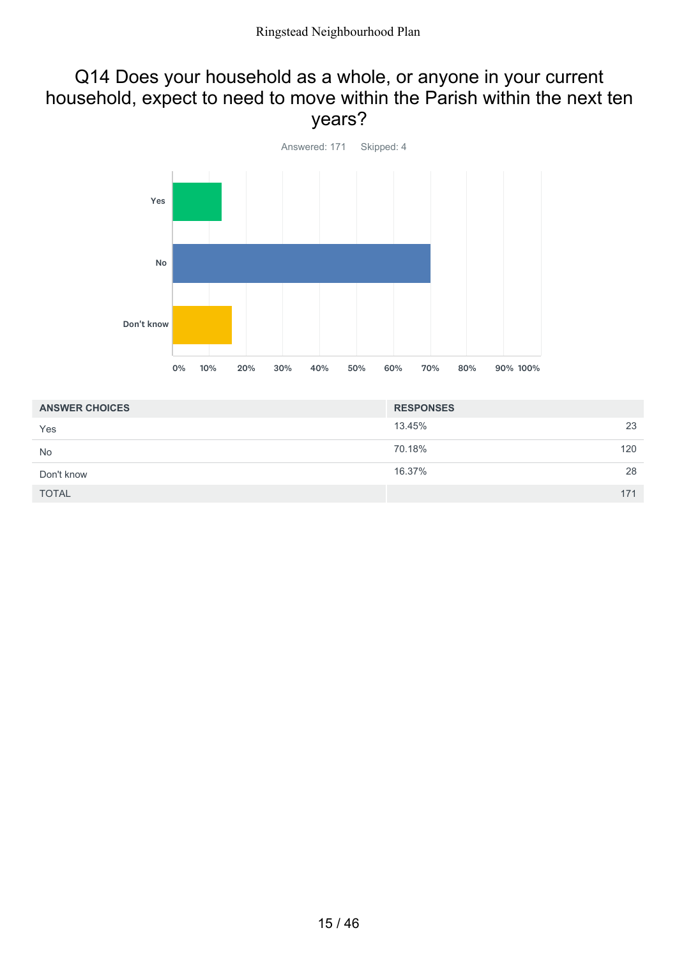#### Q14 Does your household as a whole, or anyone in your current household, expect to need to move within the Parish within the next ten years?



| <b>ANSWER CHOICES</b> | <b>RESPONSES</b> |     |
|-----------------------|------------------|-----|
| Yes                   | 13.45%           | 23  |
| <b>No</b>             | 70.18%           | 120 |
| Don't know            | 16.37%           | 28  |
| <b>TOTAL</b>          |                  | 171 |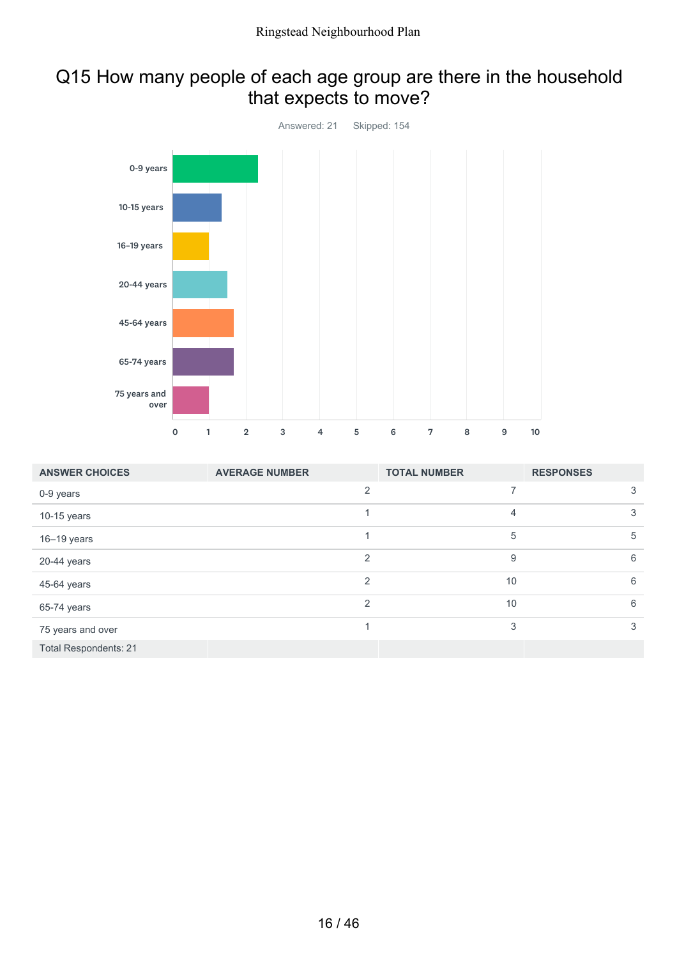#### Q15 How many people of each age group are there in the household that expects to move?



| <b>ANSWER CHOICES</b>        | <b>AVERAGE NUMBER</b> | <b>TOTAL NUMBER</b> | <b>RESPONSES</b> |
|------------------------------|-----------------------|---------------------|------------------|
| 0-9 years                    | $\overline{2}$        | 7                   | 3                |
| $10-15$ years                |                       | $\overline{4}$      | 3                |
| $16 - 19$ years              |                       | 5                   | 5                |
| 20-44 years                  | $\mathcal{P}$         | 9                   | 6                |
| 45-64 years                  | $\overline{2}$        | 10                  | 6                |
| 65-74 years                  | 2                     | 10                  | 6                |
| 75 years and over            |                       | 3                   | 3                |
| <b>Total Respondents: 21</b> |                       |                     |                  |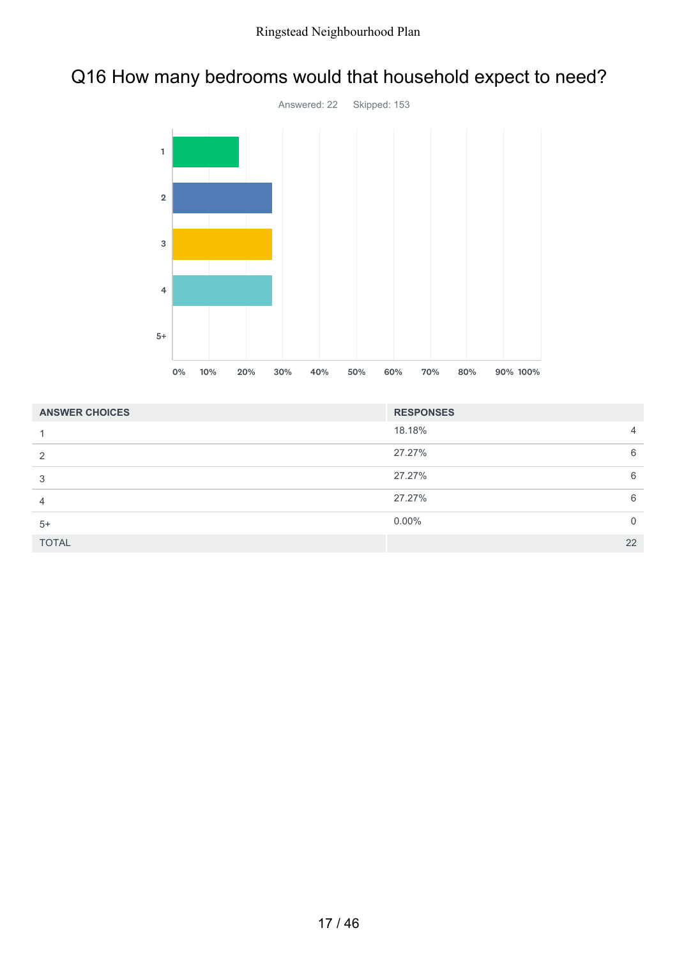### Q16 How many bedrooms would that household expect to need?



| <b>ANSWER CHOICES</b> | <b>RESPONSES</b> |          |
|-----------------------|------------------|----------|
|                       | 18.18%           | 4        |
| 2                     | 27.27%           | 6        |
| 3                     | 27.27%           | 6        |
| 4                     | 27.27%           | 6        |
| $5+$                  | $0.00\%$         | $\Omega$ |
| <b>TOTAL</b>          |                  | 22       |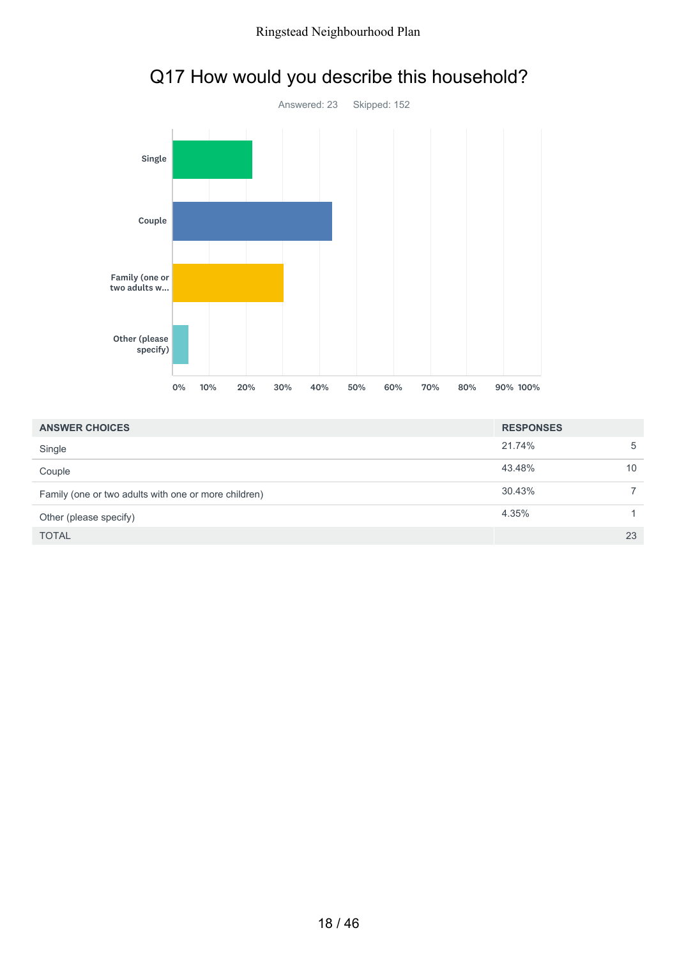

## Q17 How would you describe this household?

| <b>ANSWER CHOICES</b>                                | <b>RESPONSES</b> |    |
|------------------------------------------------------|------------------|----|
| Single                                               | 21.74%           | 5  |
| Couple                                               | 43.48%           | 10 |
| Family (one or two adults with one or more children) | 30.43%           |    |
| Other (please specify)                               | 4.35%            |    |
| <b>TOTAL</b>                                         |                  | 23 |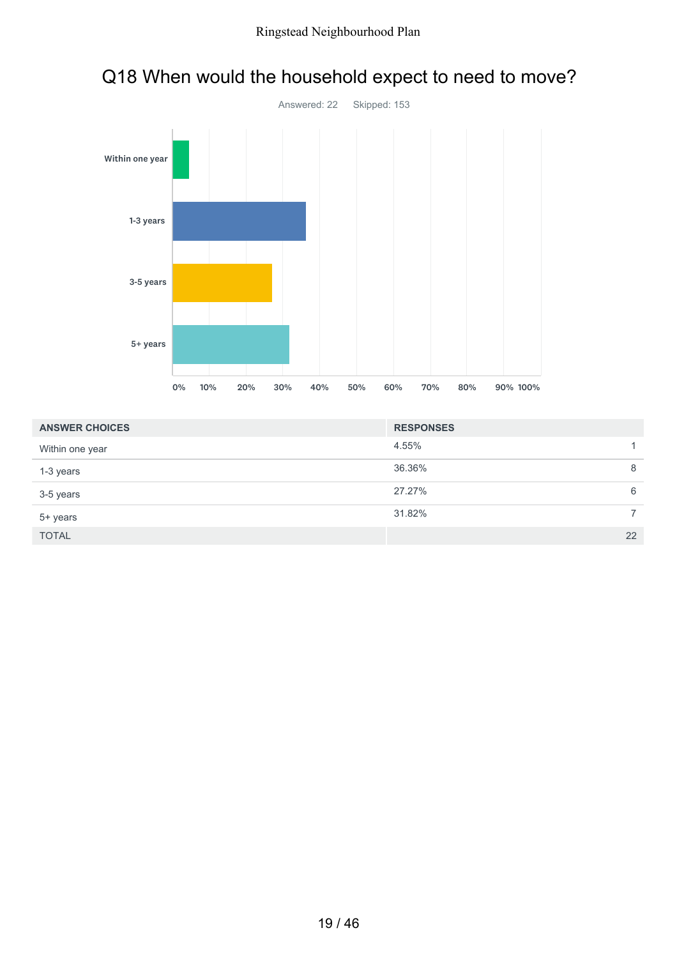

# Q18 When would the household expect to need to move?

| <b>ANSWER CHOICES</b> | <b>RESPONSES</b> |
|-----------------------|------------------|
| Within one year       | 4.55%            |
| 1-3 years             | 36.36%<br>8      |
| 3-5 years             | 27.27%<br>6      |
| 5+ years              | 31.82%           |
| <b>TOTAL</b>          | 22               |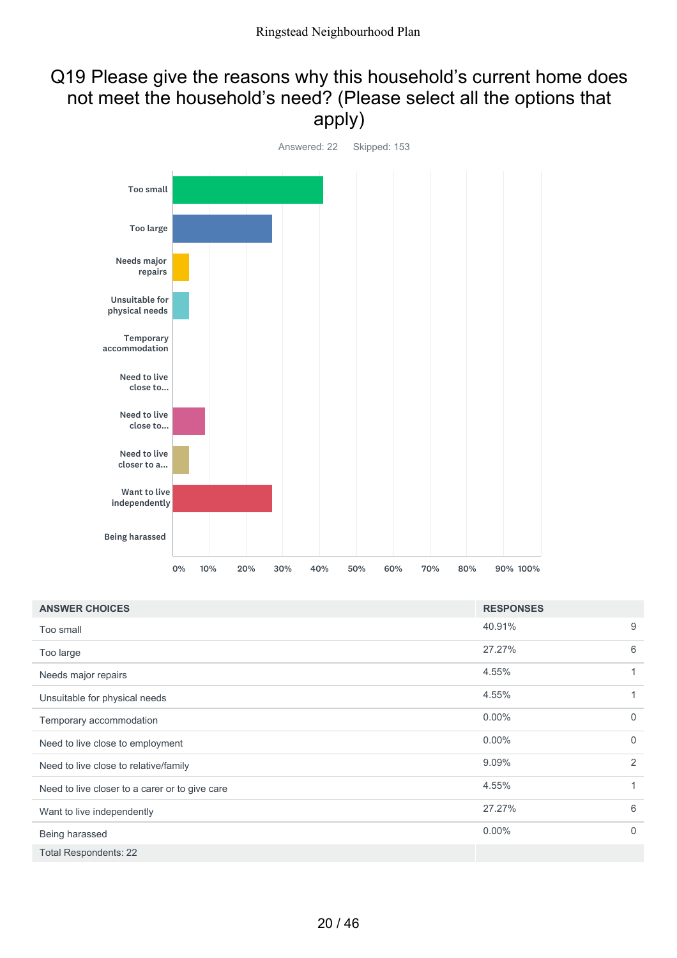#### Q19 Please give the reasons why this household's current home does not meet the household's need? (Please select all the options that apply)



| <b>ANSWER CHOICES</b>                          | <b>RESPONSES</b> |                |
|------------------------------------------------|------------------|----------------|
| Too small                                      | 40.91%           | 9              |
| Too large                                      | 27.27%           | 6              |
| Needs major repairs                            | 4.55%            | 1              |
| Unsuitable for physical needs                  | 4.55%            | 1              |
| Temporary accommodation                        | $0.00\%$         | $\overline{0}$ |
| Need to live close to employment               | $0.00\%$         | $\Omega$       |
| Need to live close to relative/family          | 9.09%            | 2              |
| Need to live closer to a carer or to give care | 4.55%            | 1              |
| Want to live independently                     | 27.27%           | 6              |
| Being harassed                                 | $0.00\%$         | $\Omega$       |
| <b>Total Respondents: 22</b>                   |                  |                |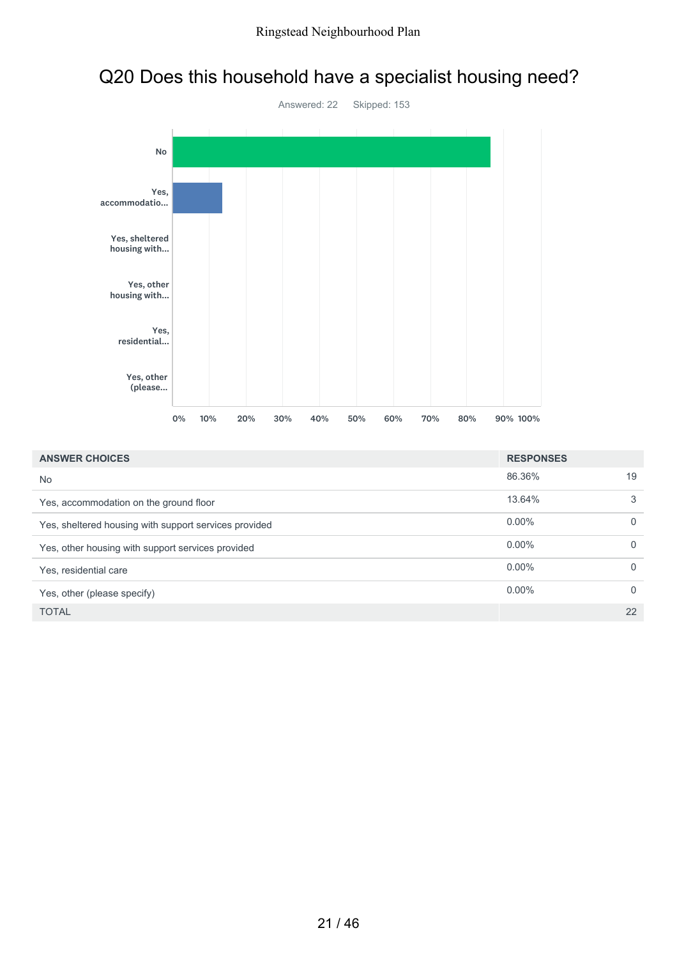# Q20 Does this household have a specialist housing need?



| <b>ANSWER CHOICES</b>                                 | <b>RESPONSES</b> |              |
|-------------------------------------------------------|------------------|--------------|
| <b>No</b>                                             | 86.36%           | 19           |
| Yes, accommodation on the ground floor                | 13.64%           | 3            |
| Yes, sheltered housing with support services provided | $0.00\%$         | $\mathbf{0}$ |
| Yes, other housing with support services provided     | $0.00\%$         | $\mathbf{0}$ |
| Yes, residential care                                 | $0.00\%$         | $\mathbf{0}$ |
| Yes, other (please specify)                           | $0.00\%$         | $\mathbf{0}$ |
| <b>TOTAL</b>                                          |                  | 22           |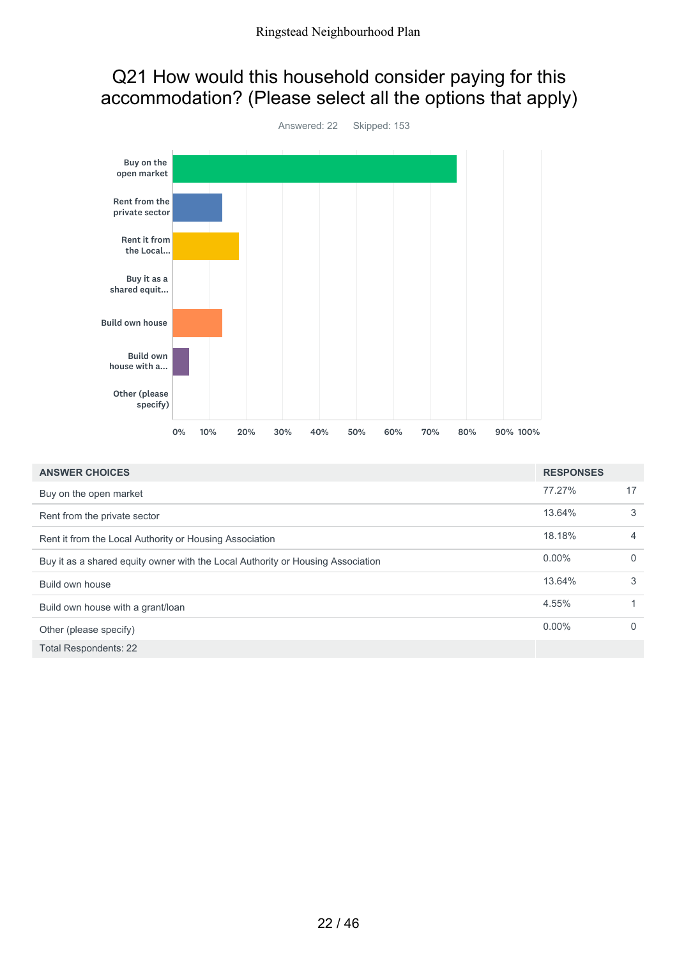### Q21 How would this household consider paying for this accommodation? (Please select all the options that apply)



| <b>ANSWER CHOICES</b>                                                           | <b>RESPONSES</b> |              |
|---------------------------------------------------------------------------------|------------------|--------------|
| Buy on the open market                                                          | 77.27%           | 17           |
| Rent from the private sector                                                    | 13.64%           | 3            |
| Rent it from the Local Authority or Housing Association                         | 18.18%           | 4            |
| Buy it as a shared equity owner with the Local Authority or Housing Association | $0.00\%$         | $\Omega$     |
| Build own house                                                                 | 13.64%           | 3            |
| Build own house with a grant/loan                                               | 4.55%            |              |
| Other (please specify)                                                          | $0.00\%$         | $\mathbf{0}$ |
| <b>Total Respondents: 22</b>                                                    |                  |              |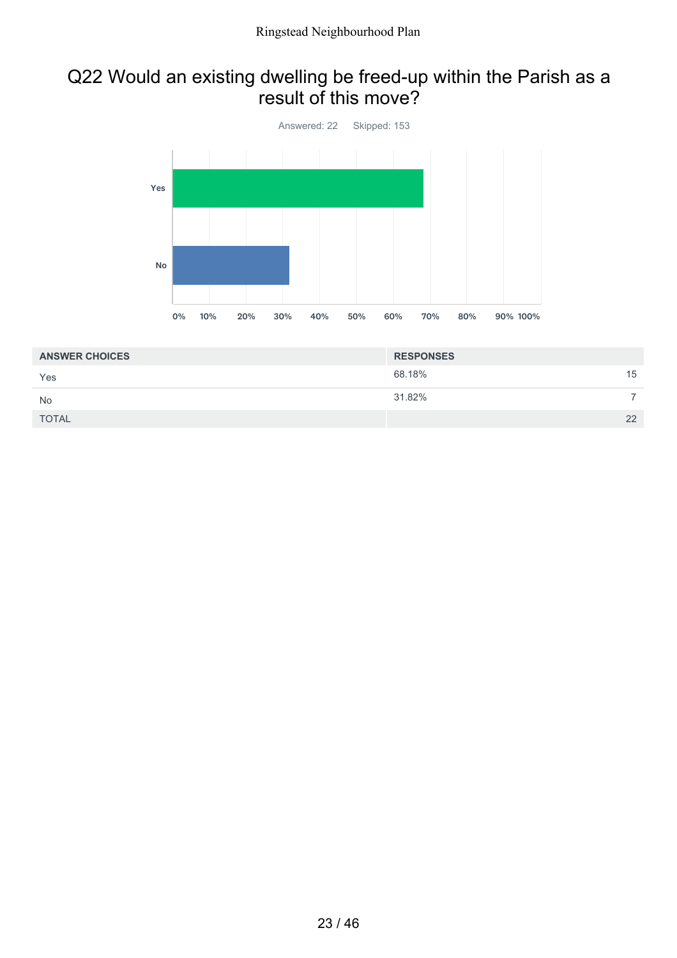#### Q22 Would an existing dwelling be freed-up within the Parish as a result of this move?



| <b>ANSWER CHOICES</b> | <b>RESPONSES</b> |    |
|-----------------------|------------------|----|
| Yes                   | 68.18%           | 15 |
| <b>No</b>             | 31.82%           |    |
| <b>TOTAL</b>          |                  | 22 |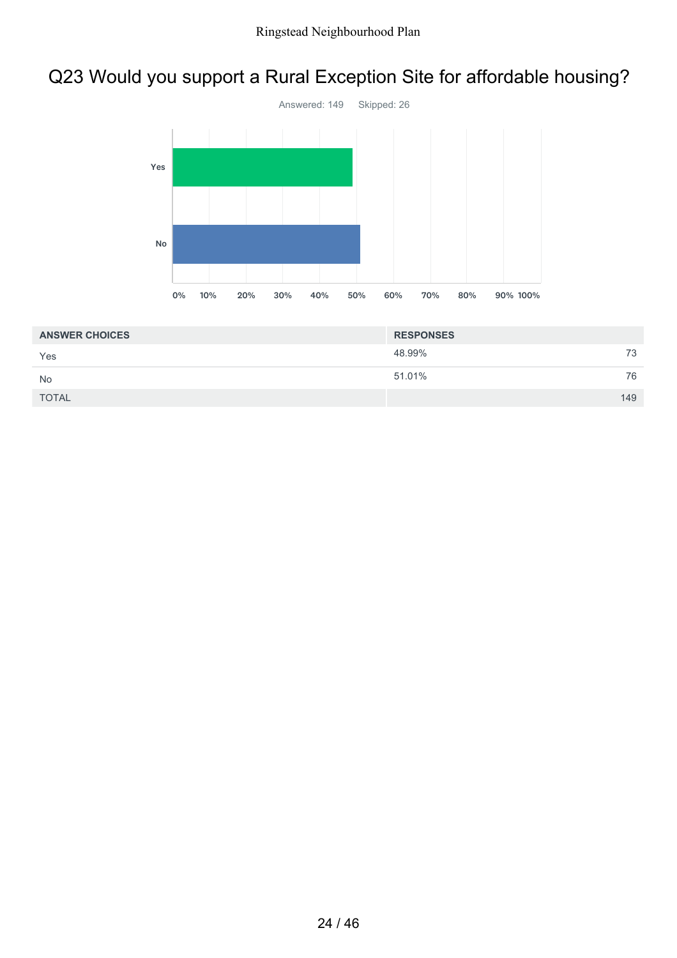### Q23 Would you support a Rural Exception Site for affordable housing?



| <b>ANSWER CHOICES</b> | <b>RESPONSES</b> |     |
|-----------------------|------------------|-----|
| Yes                   | 48.99%           | 73  |
| <b>No</b>             | 51.01%           | 76  |
| <b>TOTAL</b>          |                  | 149 |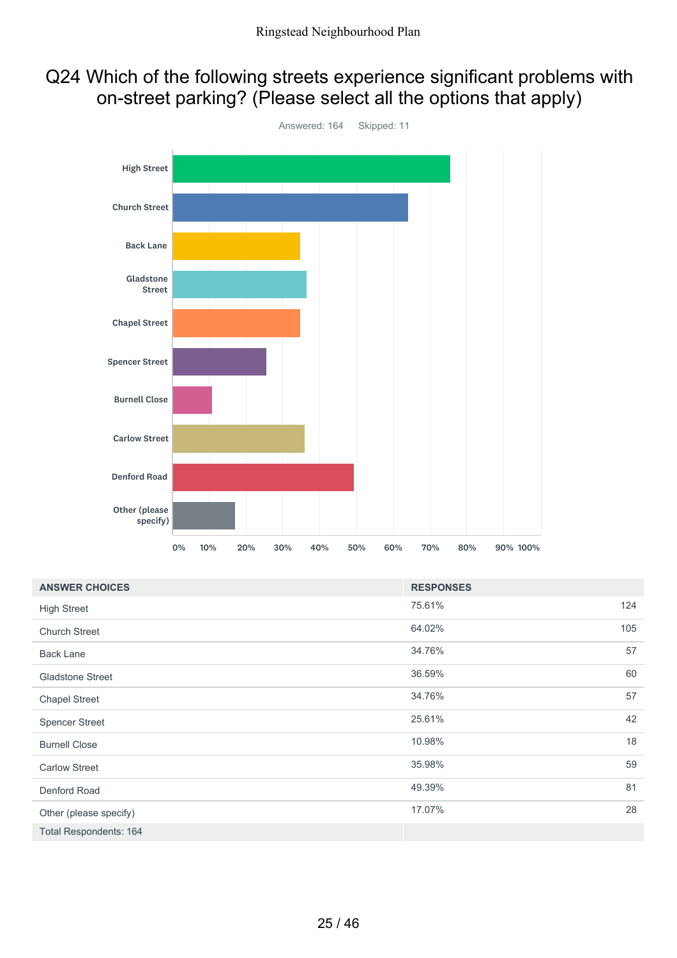### Q24 Which of the following streets experience significant problems with on-street parking? (Please select all the options that apply)



| <b>ANSWER CHOICES</b>         | <b>RESPONSES</b> |     |
|-------------------------------|------------------|-----|
| <b>High Street</b>            | 75.61%           | 124 |
| <b>Church Street</b>          | 64.02%           | 105 |
| <b>Back Lane</b>              | 34.76%           | 57  |
| <b>Gladstone Street</b>       | 36.59%           | 60  |
| <b>Chapel Street</b>          | 34.76%           | 57  |
| <b>Spencer Street</b>         | 25.61%           | 42  |
| <b>Burnell Close</b>          | 10.98%           | 18  |
| <b>Carlow Street</b>          | 35.98%           | 59  |
| Denford Road                  | 49.39%           | 81  |
| Other (please specify)        | 17.07%           | 28  |
| <b>Total Respondents: 164</b> |                  |     |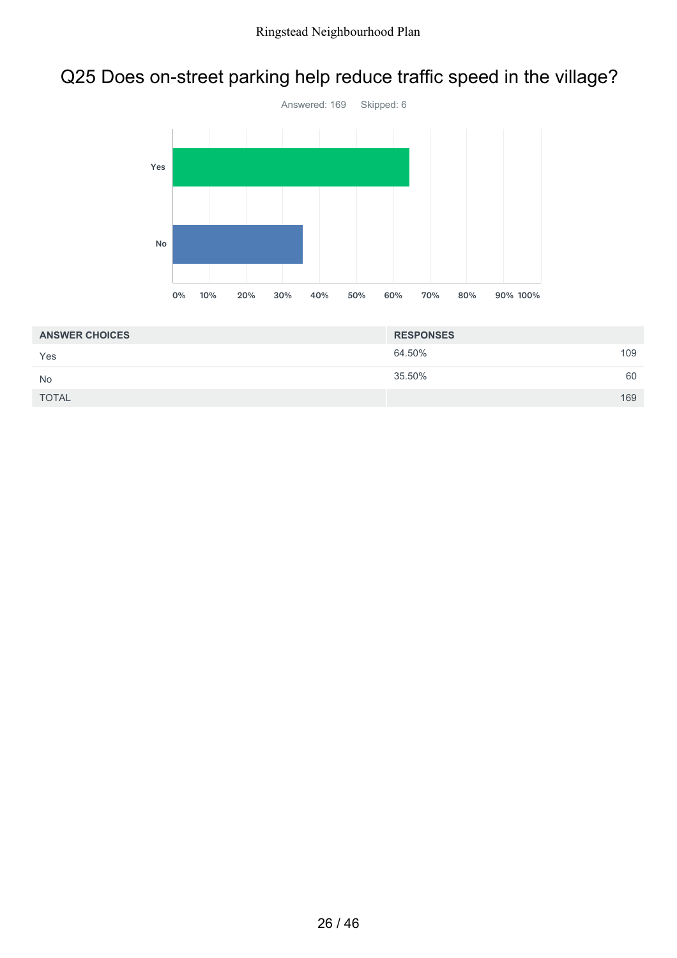### Q25 Does on-street parking help reduce traffic speed in the village?



| <b>ANSWER CHOICES</b> | <b>RESPONSES</b> |     |
|-----------------------|------------------|-----|
| Yes                   | 64.50%           | 109 |
| <b>No</b>             | 35.50%           | 60  |
| <b>TOTAL</b>          |                  | 169 |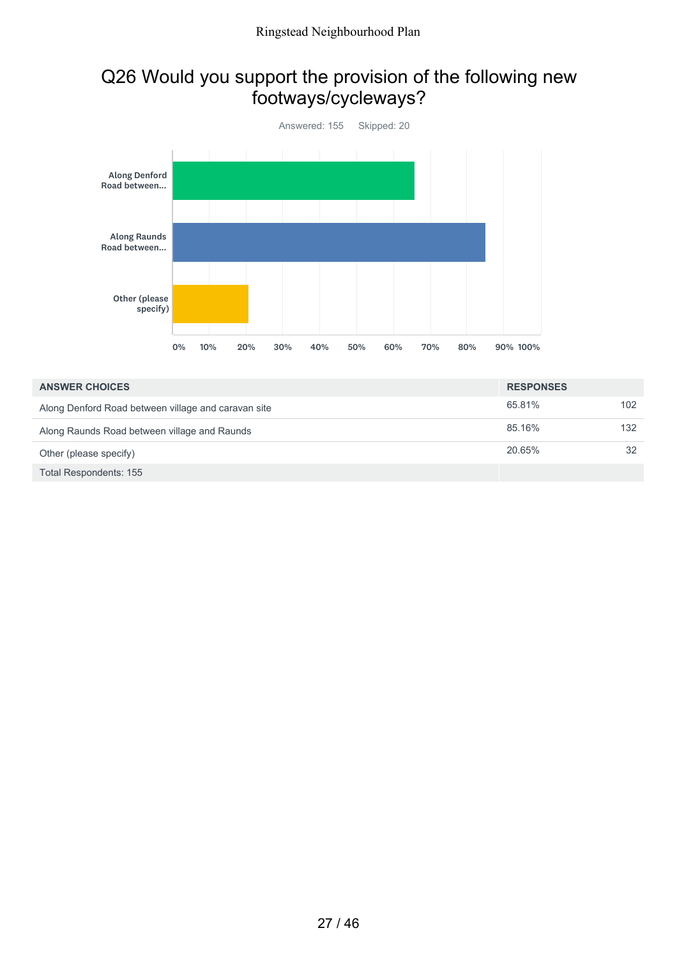### Q26 Would you support the provision of the following new footways/cycleways?



| <b>ANSWER CHOICES</b>                               | <b>RESPONSES</b> |     |
|-----------------------------------------------------|------------------|-----|
| Along Denford Road between village and caravan site | 65.81%           | 102 |
| Along Raunds Road between village and Raunds        | 85.16%           | 132 |
| Other (please specify)                              | 20.65%           | 32  |
| Total Respondents: 155                              |                  |     |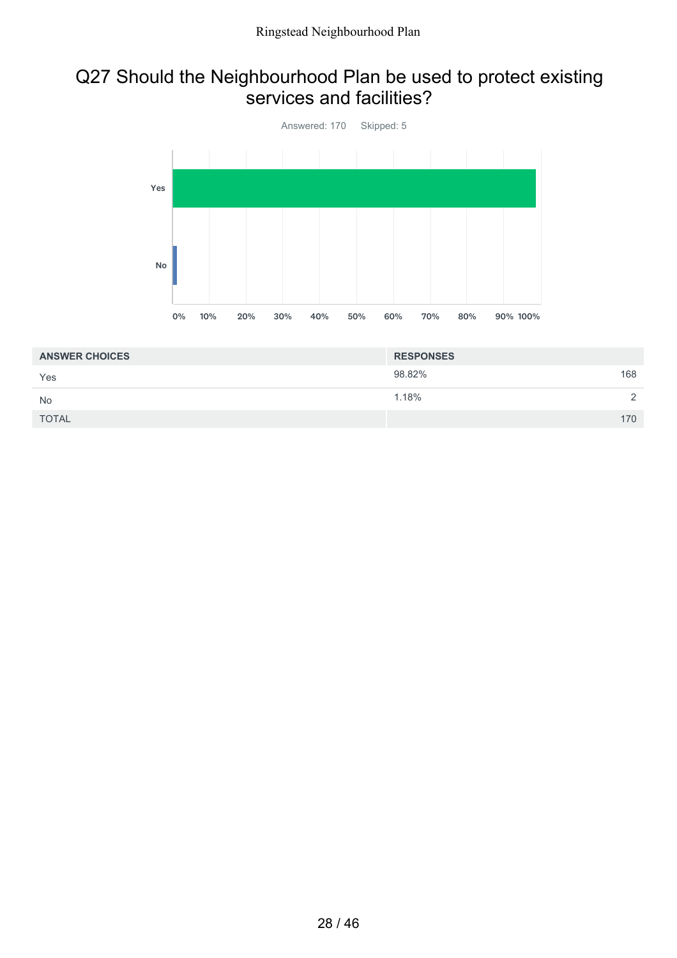#### Q27 Should the Neighbourhood Plan be used to protect existing services and facilities?



| <b>ANSWER CHOICES</b> | <b>RESPONSES</b> |     |
|-----------------------|------------------|-----|
| Yes                   | 98.82%           | 168 |
| <b>No</b>             | 1.18%            |     |
| <b>TOTAL</b>          |                  | 170 |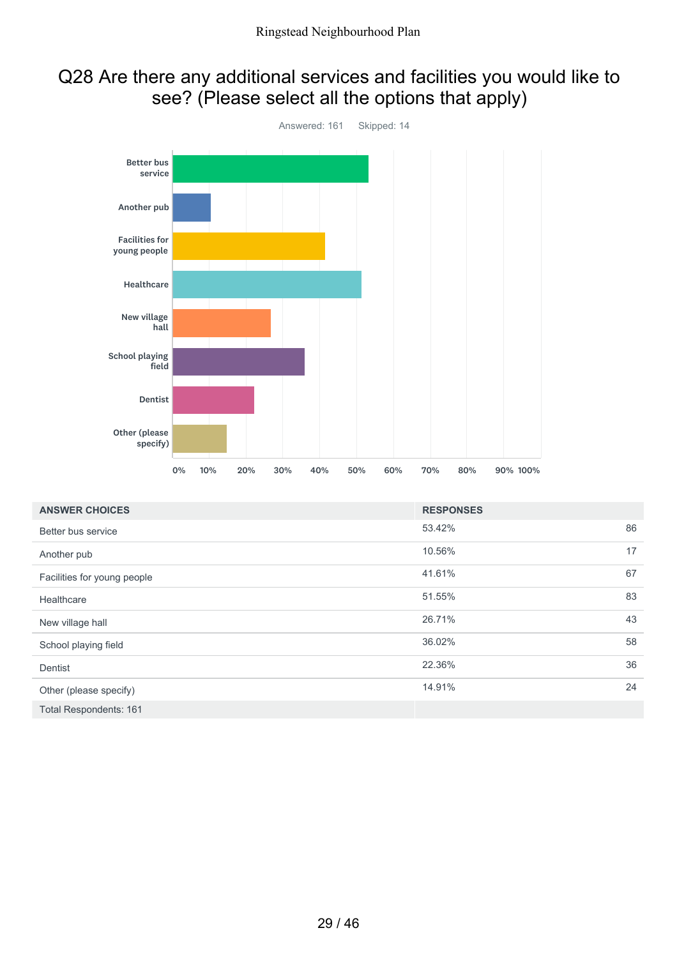### Q28 Are there any additional services and facilities you would like to see? (Please select all the options that apply)



| <b>ANSWER CHOICES</b>         | <b>RESPONSES</b> |    |
|-------------------------------|------------------|----|
| Better bus service            | 53.42%           | 86 |
| Another pub                   | 10.56%           | 17 |
| Facilities for young people   | 41.61%           | 67 |
| Healthcare                    | 51.55%           | 83 |
| New village hall              | 26.71%           | 43 |
| School playing field          | 36.02%           | 58 |
| Dentist                       | 22.36%           | 36 |
| Other (please specify)        | 14.91%           | 24 |
| <b>Total Respondents: 161</b> |                  |    |

29 / 46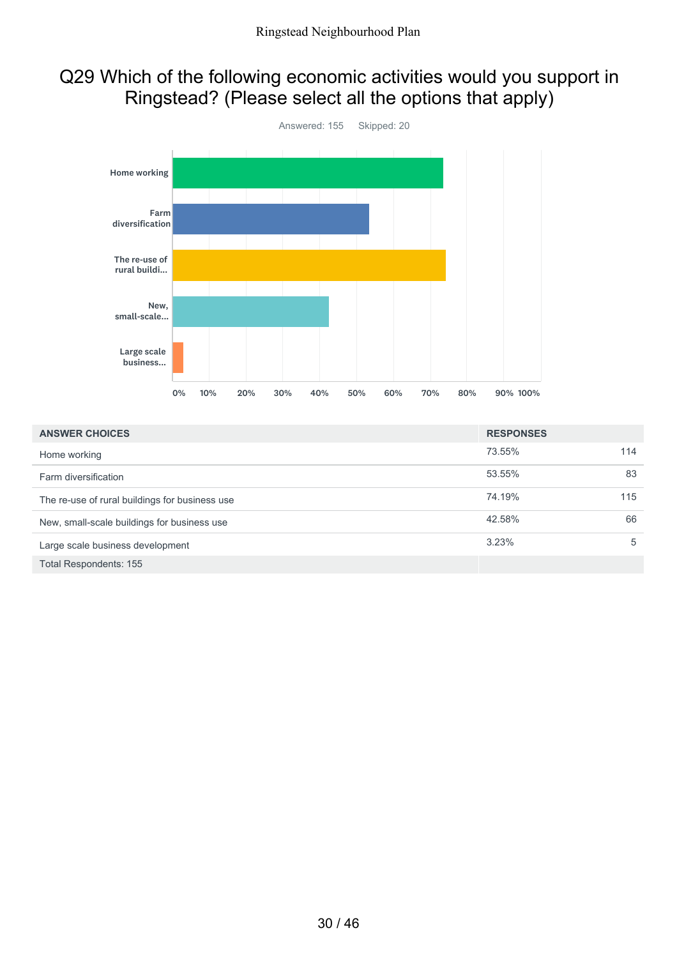### Q29 Which of the following economic activities would you support in Ringstead? (Please select all the options that apply)



| <b>ANSWER CHOICES</b>                          | <b>RESPONSES</b> |     |
|------------------------------------------------|------------------|-----|
| Home working                                   | 73.55%           | 114 |
| Farm diversification                           | 53.55%           | 83  |
| The re-use of rural buildings for business use | 74.19%           | 115 |
| New, small-scale buildings for business use    | 42.58%           | 66  |
| Large scale business development               | 3.23%            | 5   |
| Total Respondents: 155                         |                  |     |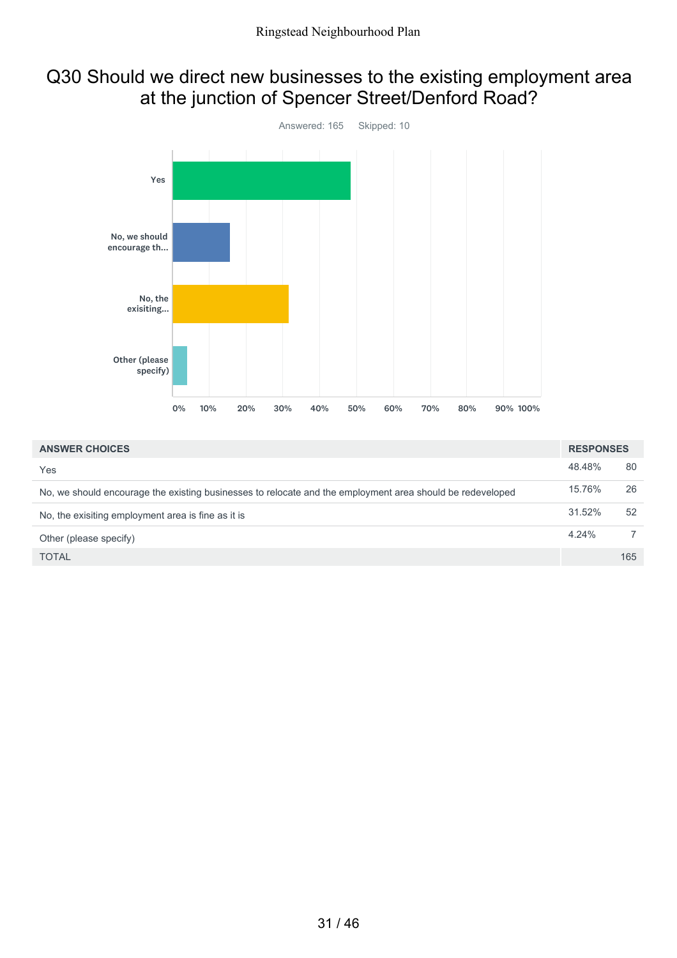### Q30 Should we direct new businesses to the existing employment area at the junction of Spencer Street/Denford Road?



| <b>ANSWER CHOICES</b>                                                                                     | <b>RESPONSES</b> |     |
|-----------------------------------------------------------------------------------------------------------|------------------|-----|
| Yes                                                                                                       | 48.48%           | 80  |
| No, we should encourage the existing businesses to relocate and the employment area should be redeveloped | 15.76%           | 26  |
| No, the exisiting employment area is fine as it is                                                        | 31.52%           | 52  |
| Other (please specify)                                                                                    | 4.24%            |     |
| <b>TOTAL</b>                                                                                              |                  | 165 |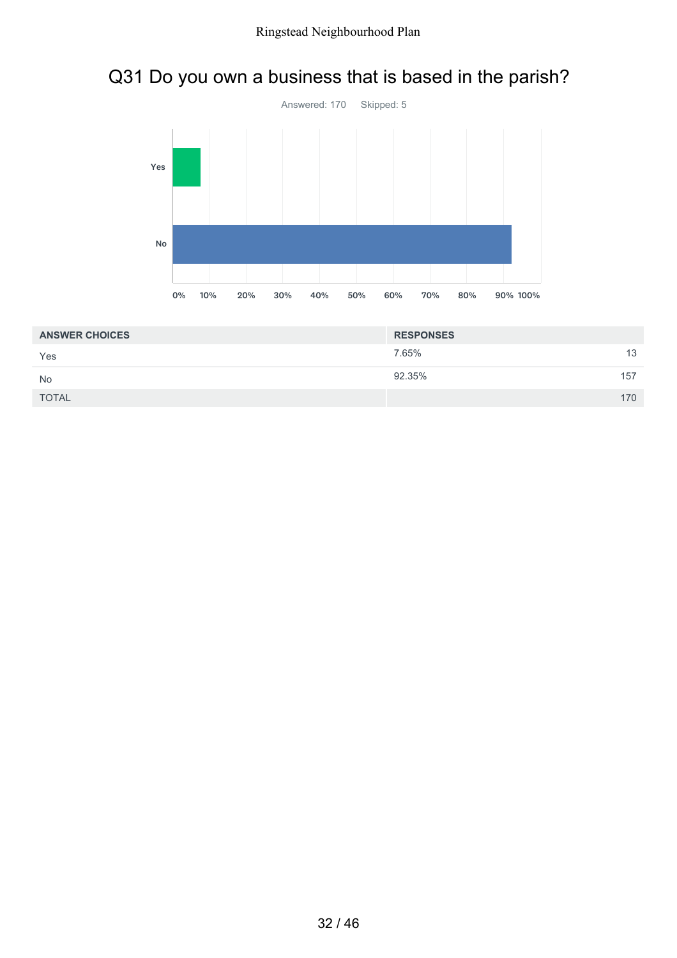## Q31 Do you own a business that is based in the parish?



| <b>ANSWER CHOICES</b> | <b>RESPONSES</b> |    |
|-----------------------|------------------|----|
| Yes                   | 7.65%            | 13 |
| <b>No</b>             | 92.35%<br>157    |    |
| <b>TOTAL</b>          | 170              |    |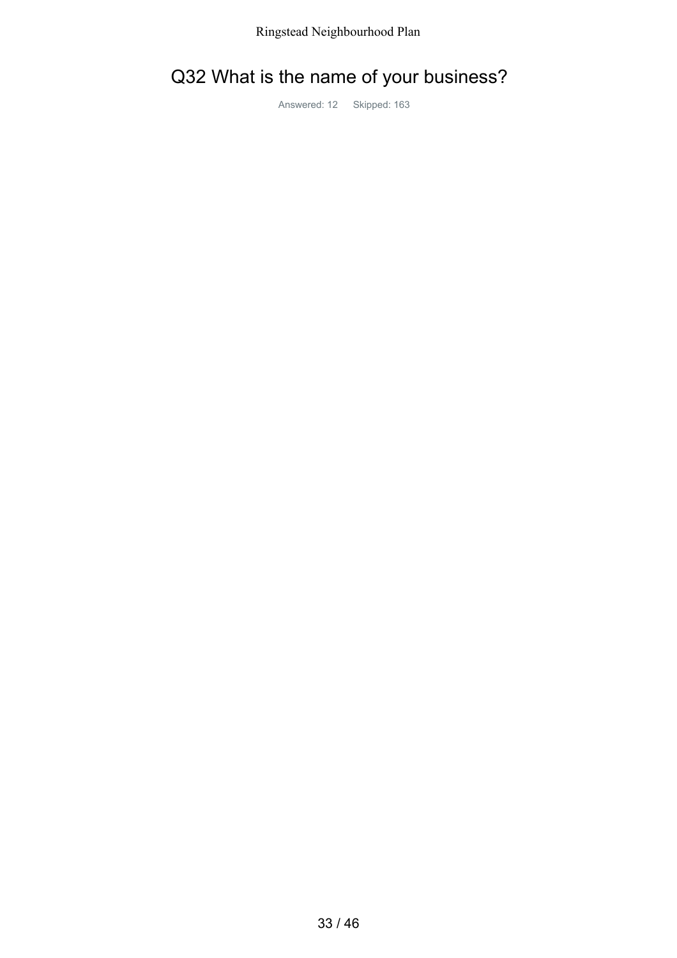## Q32 What is the name of your business?

Answered: 12 Skipped: 163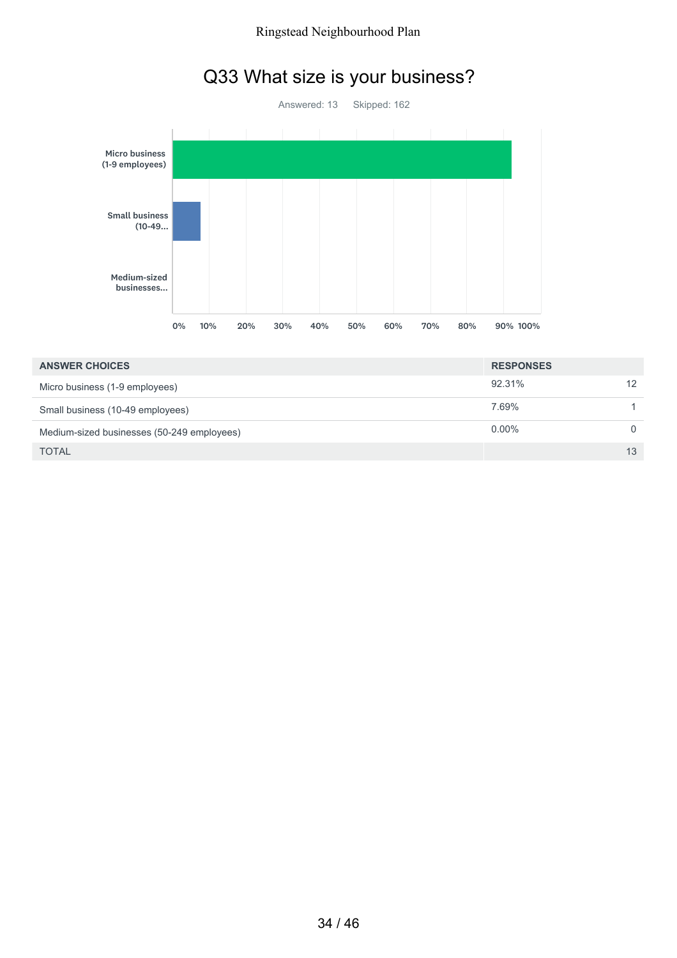## Q33 What size is your business?



| <b>ANSWER CHOICES</b>                      | <b>RESPONSES</b> |    |
|--------------------------------------------|------------------|----|
| Micro business (1-9 employees)             | 92.31%           |    |
| Small business (10-49 employees)           | 7.69%            |    |
| Medium-sized businesses (50-249 employees) | $0.00\%$         |    |
| <b>TOTAL</b>                               |                  | 13 |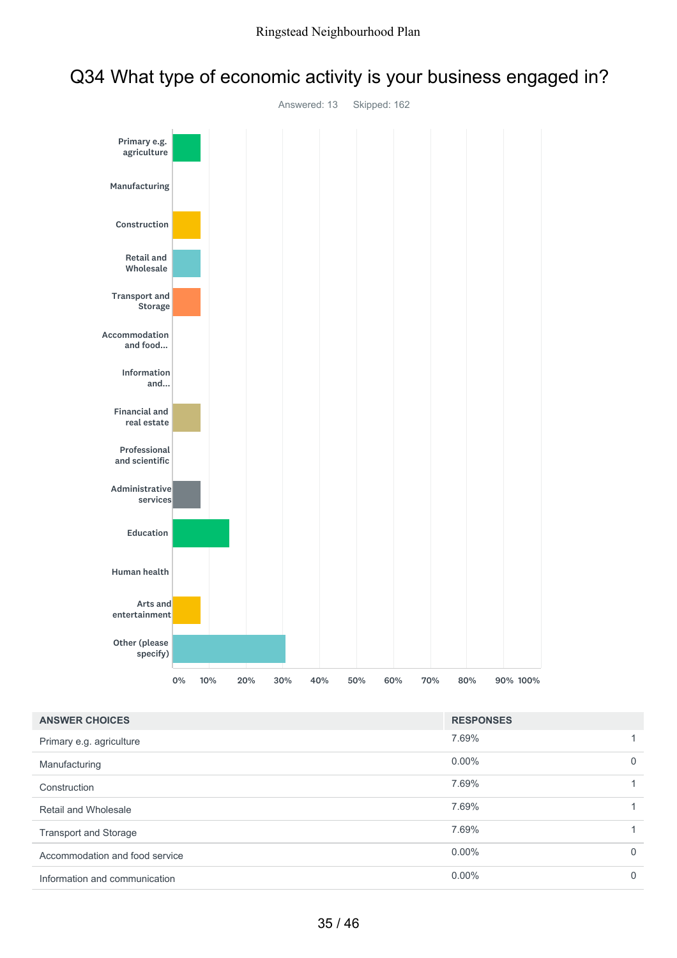



| <b>ANSWER CHOICES</b>          | <b>RESPONSES</b> |          |
|--------------------------------|------------------|----------|
| Primary e.g. agriculture       | 7.69%            |          |
| Manufacturing                  | $0.00\%$         | $\Omega$ |
| Construction                   | 7.69%            |          |
| Retail and Wholesale           | 7.69%            |          |
| <b>Transport and Storage</b>   | 7.69%            |          |
| Accommodation and food service | $0.00\%$         | $\Omega$ |
| Information and communication  | $0.00\%$         | 0        |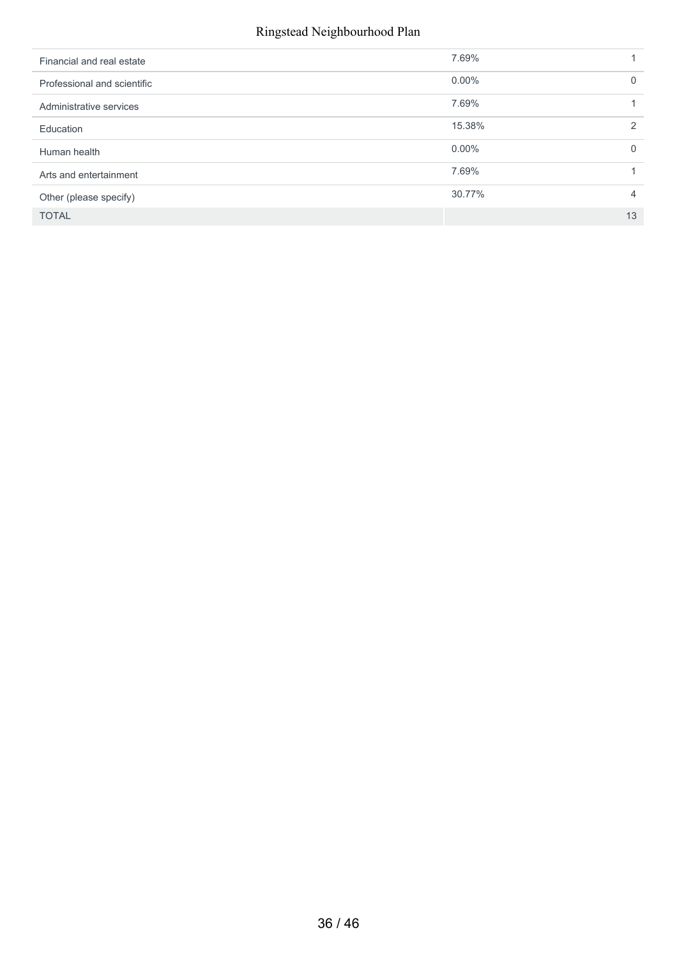#### Ringstead Neighbourhood Plan

| Financial and real estate   | 7.69%    |          |
|-----------------------------|----------|----------|
| Professional and scientific | $0.00\%$ | $\Omega$ |
| Administrative services     | 7.69%    |          |
| Education                   | 15.38%   | 2        |
| Human health                | $0.00\%$ | $\Omega$ |
| Arts and entertainment      | 7.69%    |          |
| Other (please specify)      | 30.77%   | 4        |
| <b>TOTAL</b>                |          | 13       |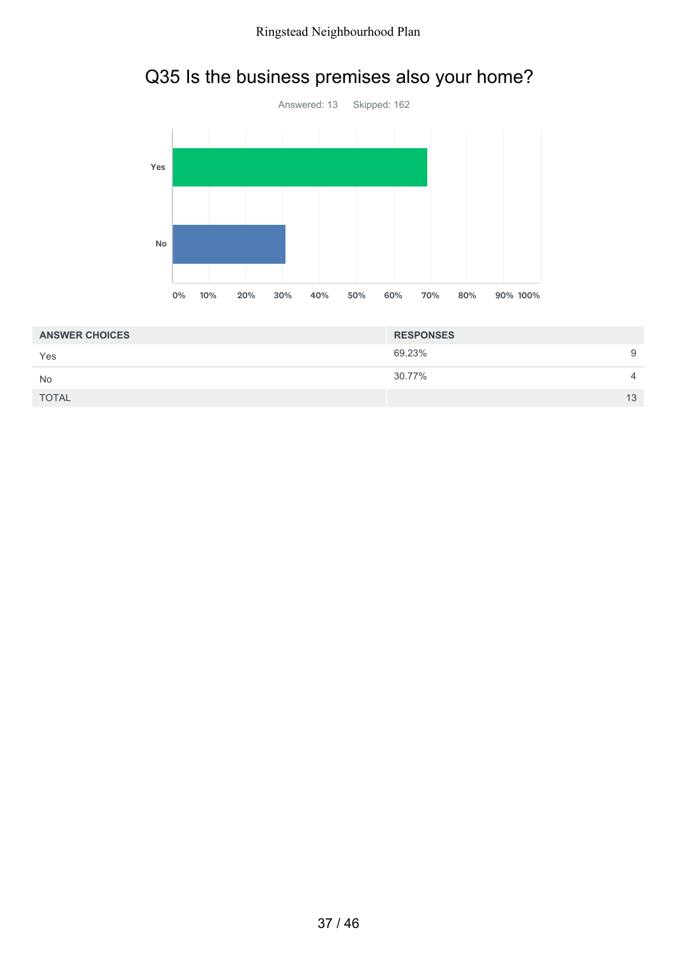# Q35 Is the business premises also your home?



| <b>ANSWER CHOICES</b> | <b>RESPONSES</b> |                |
|-----------------------|------------------|----------------|
| Yes                   | 69.23%           | 9              |
| <b>No</b>             | 30.77%           | $\overline{4}$ |
| <b>TOTAL</b>          |                  | 13             |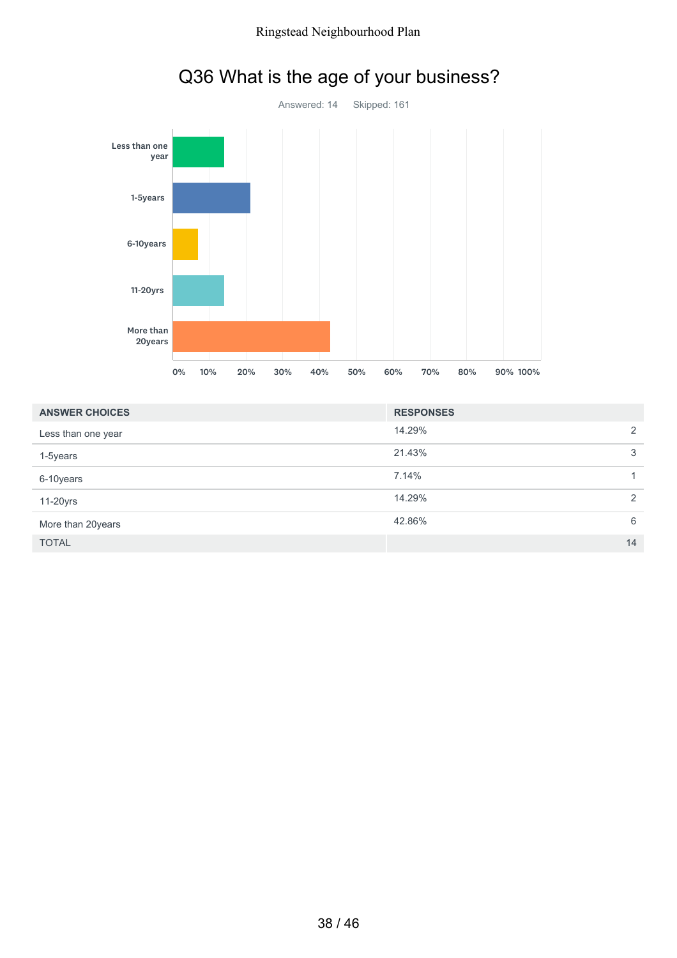

## Q36 What is the age of your business?

| <b>ANSWER CHOICES</b> | <b>RESPONSES</b> |   |
|-----------------------|------------------|---|
| Less than one year    | 14.29%           | 2 |
| 1-5years              | 21.43%           | 3 |
| 6-10years             | 7.14%            |   |
| 11-20yrs              | 14.29%           | 2 |
| More than 20years     | 42.86%           | 6 |
| <b>TOTAL</b>          | 14               |   |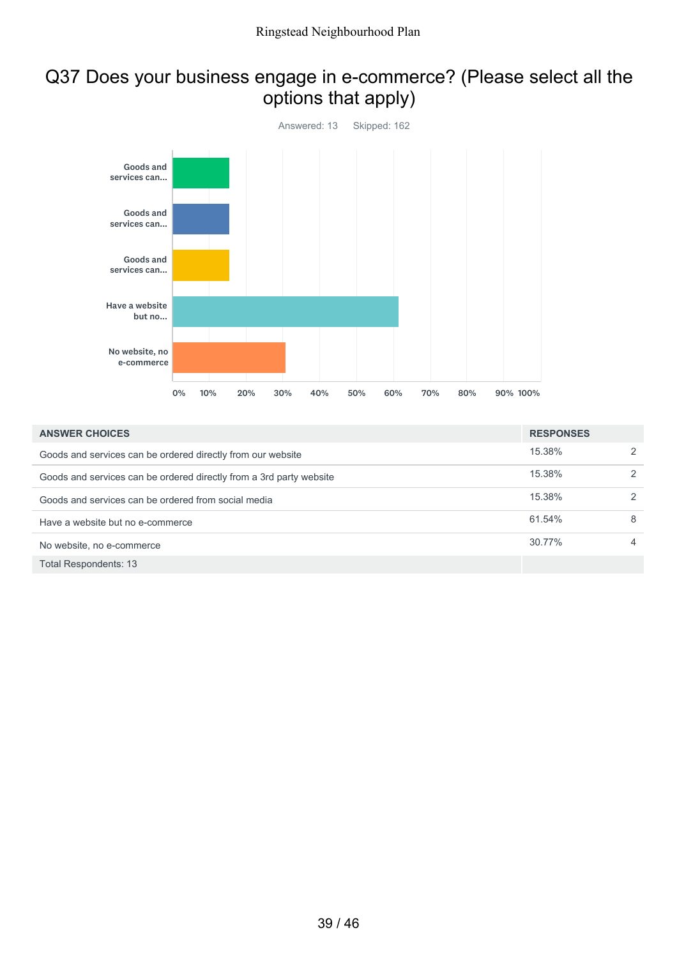### Q37 Does your business engage in e-commerce? (Please select all the options that apply)



| <b>ANSWER CHOICES</b>                                               | <b>RESPONSES</b> |                |
|---------------------------------------------------------------------|------------------|----------------|
| Goods and services can be ordered directly from our website         | 15.38%           | 2              |
| Goods and services can be ordered directly from a 3rd party website | 15.38%           | 2              |
| Goods and services can be ordered from social media                 | 15.38%           | 2              |
| Have a website but no e-commerce                                    | 61.54%           | 8              |
| No website, no e-commerce                                           | 30.77%           | $\overline{4}$ |
| Total Respondents: 13                                               |                  |                |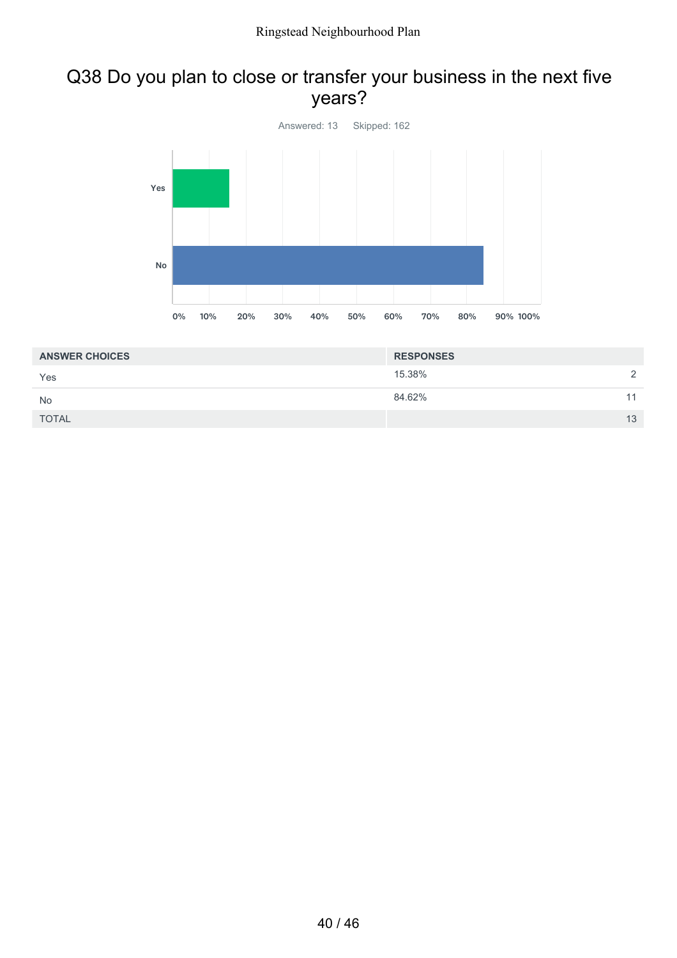### Q38 Do you plan to close or transfer your business in the next five years?



| <b>ANSWER CHOICES</b> | <b>RESPONSES</b> |    |
|-----------------------|------------------|----|
| Yes                   | 15.38%           |    |
| <b>No</b>             | 84.62%           | 44 |
| <b>TOTAL</b>          |                  | 13 |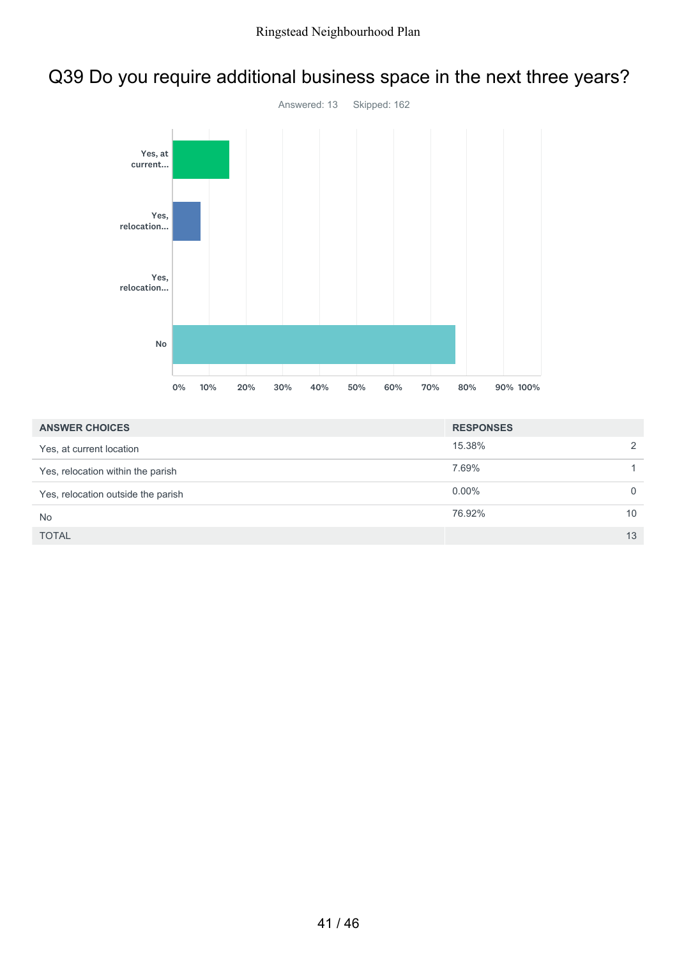# Q39 Do you require additional business space in the next three years?



| <b>ANSWER CHOICES</b>              | <b>RESPONSES</b> |               |
|------------------------------------|------------------|---------------|
| Yes, at current location           | 15.38%           | $\mathcal{P}$ |
| Yes, relocation within the parish  | 7.69%            |               |
| Yes, relocation outside the parish | $0.00\%$         | $\Omega$      |
| <b>No</b>                          | 76.92%           | 10            |
| <b>TOTAL</b>                       |                  | 13            |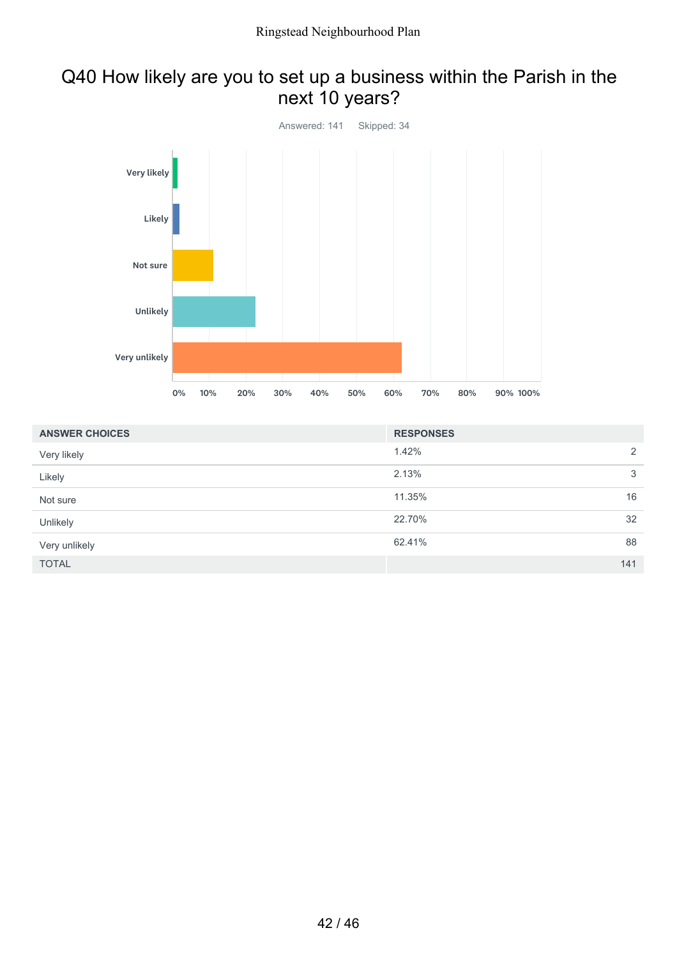### Q40 How likely are you to set up a business within the Parish in the next 10 years?



| <b>ANSWER CHOICES</b> | <b>RESPONSES</b> |     |
|-----------------------|------------------|-----|
| Very likely           | 1.42%            | 2   |
| Likely                | 2.13%            | 3   |
| Not sure              | 11.35%           | 16  |
| Unlikely              | 22.70%           | 32  |
| Very unlikely         | 62.41%           | 88  |
| <b>TOTAL</b>          |                  | 141 |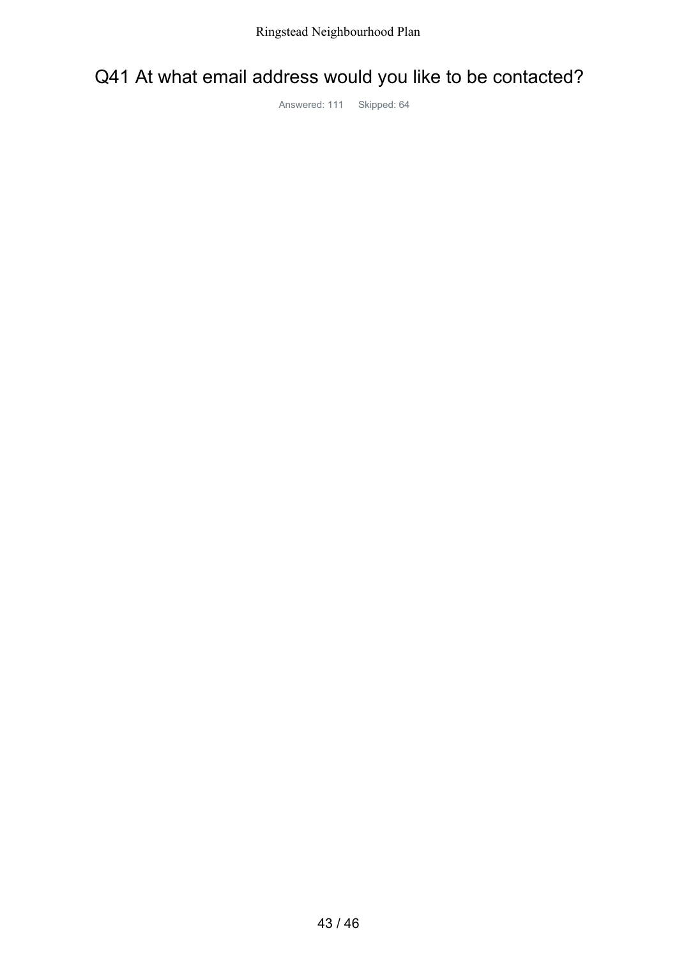### Q41 At what email address would you like to be contacted?

Answered: 111 Skipped: 64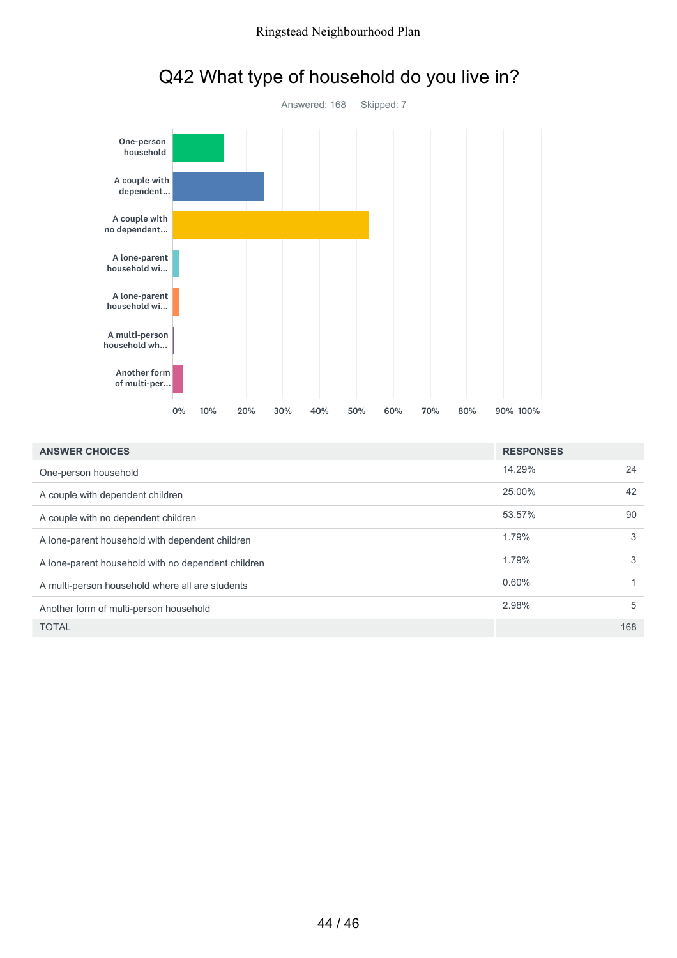

# Q42 What type of household do you live in?

| <b>ANSWER CHOICES</b>                              | <b>RESPONSES</b> |     |
|----------------------------------------------------|------------------|-----|
| One-person household                               | 14.29%           | 24  |
| A couple with dependent children                   | 25.00%           | 42  |
| A couple with no dependent children                | 53.57%           | 90  |
| A lone-parent household with dependent children    | 1.79%            | 3   |
| A lone-parent household with no dependent children | 1.79%            | 3   |
| A multi-person household where all are students    | 0.60%            |     |
| Another form of multi-person household             | 2.98%            | 5   |
| <b>TOTAL</b>                                       |                  | 168 |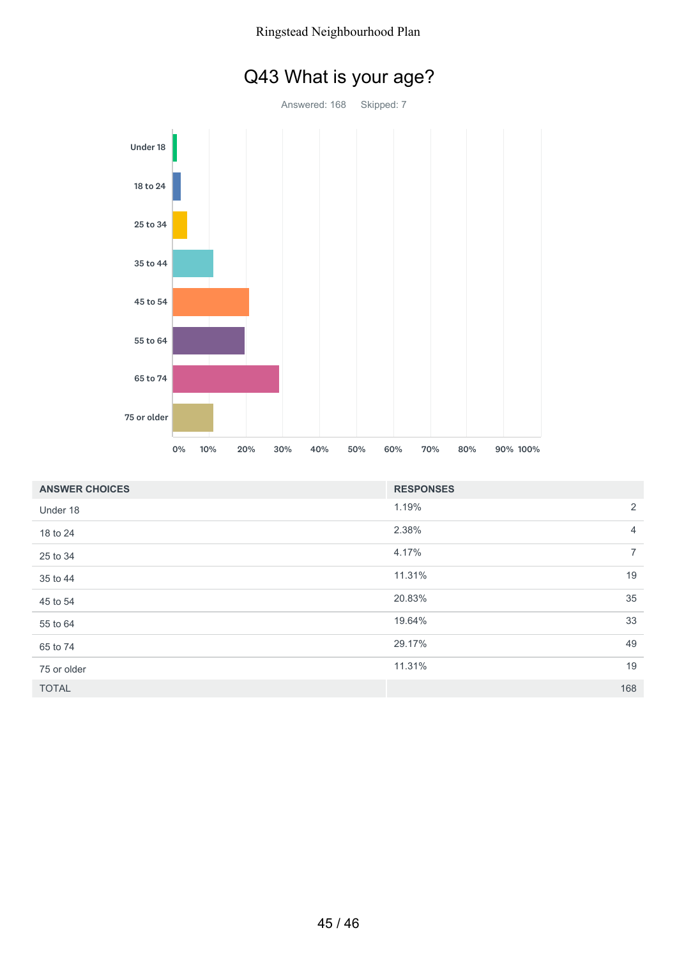

|  |  | Q43 What is your age? |  |  |  |
|--|--|-----------------------|--|--|--|
|--|--|-----------------------|--|--|--|

| <b>ANSWER CHOICES</b> | <b>RESPONSES</b> |                |
|-----------------------|------------------|----------------|
| Under 18              | 1.19%            | 2              |
| 18 to 24              | 2.38%            | $\overline{4}$ |
| 25 to 34              | 4.17%            | $\overline{7}$ |
| 35 to 44              | 11.31%           | 19             |
| 45 to 54              | 20.83%           | 35             |
| 55 to 64              | 19.64%           | 33             |
| 65 to 74              | 29.17%           | 49             |
| 75 or older           | 11.31%           | 19             |
| <b>TOTAL</b>          |                  | 168            |